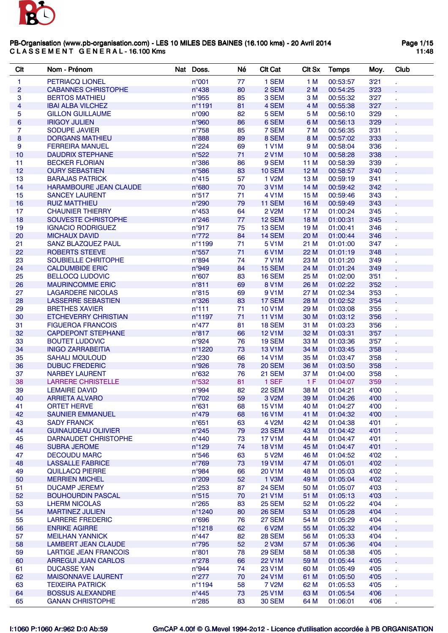

| Clt            | Nom - Prénom                  | Nat Doss.        | Né | <b>CIt Cat</b>     | <b>CIt Sx</b> | <b>Temps</b> | Moy. | Club |
|----------------|-------------------------------|------------------|----|--------------------|---------------|--------------|------|------|
| 1              | PETRIACQ LIONEL               | n°001            | 77 | 1 SEM              | 1 M           | 00:53:57     | 3'21 |      |
| $\overline{2}$ | <b>CABANNES CHRISTOPHE</b>    | $n^{\circ}$ 438  | 80 | 2 SEM              | 2M            | 00:54:25     | 3'23 |      |
| 3              | <b>BERTOS MATHIEU</b>         | $n^{\circ}955$   | 85 | 3 SEM              | 3 M           | 00:55:32     | 3'27 |      |
| $\overline{4}$ | <b>IBAI ALBA VILCHEZ</b>      | n°1191           | 81 | 4 SEM              | 4 M           | 00:55:38     | 3'27 |      |
| 5              | <b>GILLON GUILLAUME</b>       | n°090            | 82 | 5 SEM              | 5 M           | 00:56:10     | 3'29 |      |
| 6              | <b>IRIGOY JULIEN</b>          | n°960            | 86 | 6 SEM              | 6 M           | 00:56:13     | 3'29 |      |
| $\overline{7}$ | <b>SODUPE JAVIER</b>          | $n^{\circ}758$   | 85 | 7 SEM              | 7 M           | 00:56:35     | 3'31 |      |
| 8              | <b>DORGANS MATHIEU</b>        | $n^{\circ}888$   | 89 | 8 SEM              | 8 M           | 00:57:02     | 3'33 |      |
| 9              | <b>FERREIRA MANUEL</b>        | $n^{\circ}224$   | 69 | <b>1 V1M</b>       | 9 M           | 00:58:04     | 3'36 |      |
| 10             | <b>DAUDRIX STEPHANE</b>       | n°522            | 71 | <b>2 V1M</b>       | 10 M          | 00:58:28     | 3'38 |      |
| 11             | <b>BECKER FLORIAN</b>         | $n^{\circ}386$   | 86 | 9 SEM              | 11 M          | 00:58:39     | 3'39 |      |
| 12             | <b>OURY SEBASTIEN</b>         | $n^{\circ}$ 586  | 83 | <b>10 SEM</b>      | 12 M          | 00:58:57     | 3'40 |      |
| 13             | <b>BARAJAS PATRICK</b>        | $n^{\circ}415$   | 57 | 1 V2M              | 13 M          | 00:59:19     | 3'41 |      |
| 14             | <b>HARAMBOURE JEAN CLAUDE</b> | $n^{\circ}680$   | 70 | 3 V1M              | 14 M          | 00:59:42     | 3'42 |      |
| 15             | <b>SANCEY LAURENT</b>         | $n^{\circ}517$   | 71 | 4 V1M              | 15 M          | 00:59:46     | 3'43 |      |
| 16             | <b>RUIZ MATTHIEU</b>          | n°290            | 79 | 11 SEM             | 16 M          | 00:59:49     | 3'43 |      |
| 17             | <b>CHAUNIER THIERRY</b>       | $n^{\circ}453$   | 64 | 2 V <sub>2</sub> M | 17 M          | 01:00:24     | 3'45 |      |
| 18             | SOUVESTE CHRISTOPHE           | $n^{\circ}246$   | 77 | 12 SEM             | 18 M          | 01:00:31     | 3'45 |      |
| 19             | <b>IGNACIO RODRIGUEZ</b>      | $n^{\circ}917$   | 75 | 13 SEM             | 19 M          | 01:00:41     | 3'46 |      |
| 20             | <b>MICHAUX DAVID</b>          | $n^{\circ}772$   | 84 | 14 SEM             | 20 M          | 01:00:44     | 3'46 |      |
| 21             | <b>SANZ BLAZQUEZ PAUL</b>     | n°1199           | 71 | 5 V1M              | 21 M          | 01:01:00     | 3'47 |      |
| 22             | <b>ROBERTS STEEVE</b>         | $n^{\circ}$ 557  | 71 | 6 V1M              | 22 M          | 01:01:19     | 3'48 |      |
| 23             | SOUBIELLE CHRITOPHE           | $n^{\circ}894$   | 74 | <b>7 V1M</b>       | 23 M          | 01:01:20     | 3'49 |      |
| 24             | <b>CALDUMBIDE ERIC</b>        | n°949            | 84 | <b>15 SEM</b>      | 24 M          | 01:01:24     | 3'49 |      |
| 25             | <b>BELLOCQ LUDOVIC</b>        | $n^{\circ}607$   | 83 | <b>16 SEM</b>      | 25 M          | 01:02:00     | 3'51 |      |
| 26             | <b>MAURINCOMME ERIC</b>       | $n^{\circ}811$   | 69 | 8 V1M              | 26 M          | 01:02:22     | 3'52 |      |
| 27             | <b>LAGARDERE NICOLAS</b>      | $n^{\circ}815$   | 69 | 9 V1M              | 27 M          | 01:02:34     | 3'53 |      |
| 28             | <b>LASSERRE SEBASTIEN</b>     | $n^{\circ}326$   | 83 | 17 SEM             | 28 M          | 01:02:52     | 3'54 |      |
| 29             | <b>BRETHES XAVIER</b>         | $n^{\circ}$ 111  | 71 | 10 V1M             | 29 M          | 01:03:08     | 3'55 |      |
| 30             | <b>ETCHEVERRY CHRISTIAN</b>   | n°1197           | 71 | <b>11 V1M</b>      | 30 M          | 01:03:12     | 3'56 |      |
| 31             | <b>FIGUEROA FRANCOIS</b>      | $n^{\circ}477$   | 81 | <b>18 SEM</b>      | 31 M          | 01:03:23     | 3'56 |      |
| 32             | <b>CAPDEPONT STEPHANE</b>     | $n^{\circ}817$   | 66 | <b>12 V1M</b>      | 32 M          | 01:03:31     | 3'57 |      |
| 33             | <b>BOUTET LUDOVIC</b>         | $n^{\circ}924$   | 76 | <b>19 SEM</b>      | 33 M          | 01:03:36     | 3'57 |      |
| 34             | <b>INIGO ZARRABEITIA</b>      | n°1220           | 73 | <b>13 V1M</b>      | 34 M          | 01:03:45     | 3'58 |      |
| 35             | <b>SAHALI MOULOUD</b>         | $n^{\circ}230$   | 66 | <b>14 V1M</b>      | 35 M          | 01:03:47     | 3'58 |      |
| 36             | <b>DUBUC FREDERIC</b>         | $n^{\circ}926$   | 78 | <b>20 SEM</b>      | 36 M          | 01:03:50     | 3'58 |      |
| 37             | <b>NARBEY LAURENT</b>         | $n^{\circ}632$   | 76 | <b>21 SEM</b>      | 37 M          | 01:04:00     | 3'58 |      |
| 38             | <b>LARRERE CHRISTELLE</b>     | $n^{\circ}532$   | 81 | 1 SEF              | 1 F           | 01:04:07     | 3'59 |      |
| 39             | <b>LEMAIRE DAVID</b>          | n°994            | 82 | <b>22 SEM</b>      | 38 M          | 01:04:21     | 4'00 |      |
| 40             | <b>ARRIETA ALVARO</b>         | n°702            | 59 | 3 V <sub>2</sub> M | 39 M          | 01:04:26     | 4'00 |      |
| 41             | <b>ORTET HERVE</b>            | $n^{\circ}631$   | 68 | <b>15 V1M</b>      | 40 M          | 01:04:27     | 4'00 |      |
| 42             | <b>SAUNIER EMMANUEL</b>       | $n^{\circ}479$   | 68 | <b>16 V1M</b>      | 41 M          | 01:04:32     | 4'00 |      |
| 43             | <b>SADY FRANCK</b>            | $n^{\circ}651$   | 63 | 4 V2M              | 42 M          | 01:04:38     | 4'01 |      |
| 44             | <b>GUINAUDEAU OLIIVIER</b>    | $n^{\circ}$ 245  | 79 | 23 SEM             | 43 M          | 01:04:42     | 4'01 |      |
| 45             | <b>DARNAUDET CHRISTOPHE</b>   | $n^{\circ}440$   | 73 | <b>17 V1M</b>      | 44 M          | 01:04:47     | 4'01 |      |
| 46             | <b>SUBRA JEROME</b>           | $n^{\circ}129$   | 74 | <b>18 V1M</b>      | 45 M          | 01:04:47     | 4'01 |      |
| 47             | <b>DECOUDU MARC</b>           | $n^{\circ}546$   | 63 | 5 V2M              | 46 M          | 01:04:52     | 4'02 |      |
| 48             | <b>LASSALLE FABRICE</b>       | $n^{\circ}769$   | 73 | <b>19 V1M</b>      | 47 M          | 01:05:01     | 4'02 |      |
| 49             | QUILLACQ PIERRE               | $n^{\circ}984$   | 66 | 20 V1M             | 48 M          | 01:05:03     | 4'02 |      |
| 50             | <b>MERRIEN MICHEL</b>         | $n^{\circ}209$   | 52 | 1 V3M              | 49 M          | 01:05:04     | 4'02 |      |
| 51             | <b>DUCAMP JEREMY</b>          | $n^{\circ}253$   | 87 | <b>24 SEM</b>      | 50 M          | 01:05:07     | 4'03 |      |
| 52             | <b>BOUHOURDIN PASCAL</b>      | $n^{\circ}515$   | 70 | 21 V1M             | 51 M          | 01:05:13     | 4'03 |      |
| 53             | <b>LHERM NICOLAS</b>          | $n^{\circ}265$   | 83 | <b>25 SEM</b>      | 52 M          | 01:05:22     | 4'04 |      |
| 54             | <b>MARTINEZ JULIEN</b>        | n°1240           | 80 | <b>26 SEM</b>      | 53 M          | 01:05:28     | 4'04 |      |
| 55             | <b>LARRERE FREDERIC</b>       | $n^{\circ}696$   | 76 | <b>27 SEM</b>      | 54 M          | 01:05:29     | 4'04 |      |
| 56             | <b>ENRIKE AGIRRE</b>          | $n^{\circ}$ 1218 | 62 | 6 V2M              | 55 M          | 01:05:32     | 4'04 |      |
| 57             | <b>MEILHAN YANNICK</b>        | $n^{\circ}447$   | 82 | <b>28 SEM</b>      | 56 M          | 01:05:33     | 4'04 |      |
| 58             | <b>LAMBERT JEAN CLAUDE</b>    | $n^{\circ}795$   | 52 | 2 V3M              | 57 M          | 01:05:36     | 4'04 |      |
| 59             | <b>LARTIGE JEAN FRANCOIS</b>  | $n^{\circ}801$   | 78 | <b>29 SEM</b>      | 58 M          | 01:05:38     | 4'05 |      |
| 60             | ARREGUI JUAN CARLOS           | $n^{\circ}$ 278  | 66 | <b>22 V1M</b>      | 59 M          | 01:05:44     | 4'05 |      |
| 61             | <b>DUCASSE YAN</b>            | $n^{\circ}944$   | 74 | 23 V1M             | 60 M          | 01:05:49     | 4'05 |      |
| 62             | <b>MAISONNAVE LAURENT</b>     | $n^{\circ}277$   | 70 | 24 V1M             | 61 M          | 01:05:50     | 4'05 |      |
| 63             | <b>TEIXEIRA PATRICK</b>       | $n^{\circ}1194$  | 58 | 7 V2M              | 62 M          | 01:05:53     | 4'05 |      |
| 64             | <b>BOSSUS ALEXANDRE</b>       | $n^{\circ}$ 445  | 73 | 25 V1M             | 63 M          | 01:05:54     | 4'06 |      |
| 65             | <b>GANAN CHRISTOPHE</b>       | $n^{\circ}285$   | 83 | <b>30 SEM</b>      | 64 M          | 01:06:01     | 4'06 |      |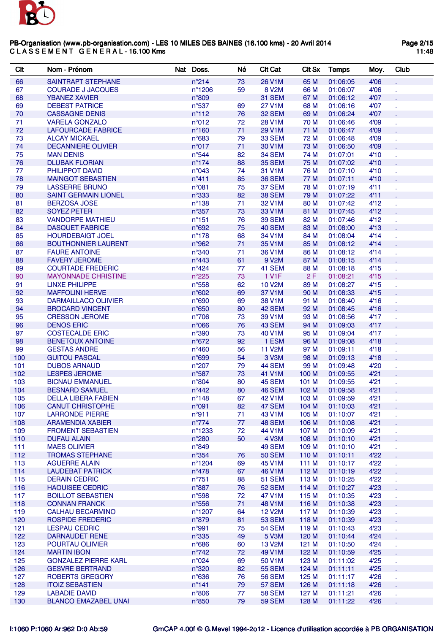

| Clt | Nom - Prénom                | Nat Doss.        | Né | <b>CIt Cat</b>     | CIt Sx | <b>Temps</b> | Moy. | Club |
|-----|-----------------------------|------------------|----|--------------------|--------|--------------|------|------|
| 66  | <b>SAINTRAPT STEPHANE</b>   | $n^{\circ}214$   | 73 | 26 V1M             | 65 M   | 01:06:05     | 4'06 |      |
| 67  | <b>COURADE J JACQUES</b>    | $n^{\circ}$ 1206 | 59 | 8 V2M              | 66 M   | 01:06:07     | 4'06 |      |
| 68  | <b>YBANEZ XAVIER</b>        | $n^{\circ}809$   |    | <b>31 SEM</b>      | 67 M   | 01:06:12     | 4'07 |      |
| 69  | <b>DEBEST PATRICE</b>       | $n^{\circ}537$   | 69 | <b>27 V1M</b>      | 68 M   | 01:06:16     | 4'07 |      |
| 70  | <b>CASSAGNE DENIS</b>       | $n^{\circ}112$   | 76 | 32 SEM             | 69 M   | 01:06:24     | 4'07 |      |
| 71  | <b>VARELA GONZALO</b>       | n°012            | 72 | 28 V1M             | 70 M   | 01:06:46     | 4'09 |      |
| 72  | <b>LAFOURCADE FABRICE</b>   | $n^{\circ}160$   | 71 | 29 V1M             | 71 M   | 01:06:47     | 4'09 |      |
| 73  | <b>ALCAY MICKAEL</b>        | $n^{\circ}683$   | 79 | <b>33 SEM</b>      | 72 M   | 01:06:48     | 4'09 |      |
| 74  | <b>DECANNIERE OLIVIER</b>   | $n^{\circ}017$   | 71 | 30 V1M             | 73 M   | 01:06:50     | 4'09 |      |
| 75  | <b>MAN DENIS</b>            | $n^{\circ}$ 544  | 82 | <b>34 SEM</b>      | 74 M   | 01:07:01     | 4'10 |      |
| 76  | <b>DLUBAK FLORIAN</b>       | $n^{\circ}$ 174  | 88 | <b>35 SEM</b>      | 75 M   | 01:07:02     | 4'10 |      |
| 77  | PHILIPPOT DAVID             | $n^{\circ}043$   | 74 | 31 V1M             | 76 M   | 01:07:10     | 4'10 |      |
| 78  | <b>MAINGOT SEBASTIEN</b>    | $n^{\circ}411$   | 85 | <b>36 SEM</b>      | 77 M   | 01:07:11     | 4'10 |      |
| 79  | <b>LASSERRE BRUNO</b>       | n°081            | 75 | 37 SEM             | 78 M   | 01:07:19     | 4'11 |      |
| 80  | <b>SAINT GERMAIN LIONEL</b> | n°333            | 82 | <b>38 SEM</b>      | 79 M   | 01:07:22     | 4'11 |      |
| 81  | <b>BERZOSA JOSE</b>         | $n^{\circ}$ 138  | 71 | 32 V1M             | 80 M   | 01:07:42     | 4'12 |      |
| 82  | <b>SOYEZ PETER</b>          | $n^{\circ}357$   | 73 | 33 V1M             | 81 M   | 01:07:45     | 4'12 |      |
| 83  | <b>VANDORPE MATHIEU</b>     | $n^{\circ}151$   | 76 | <b>39 SEM</b>      | 82 M   | 01:07:46     | 4'12 |      |
| 84  | <b>DASQUET FABRICE</b>      | n°692            | 75 | <b>40 SEM</b>      | 83 M   | 01:08:00     | 4'13 |      |
|     |                             | $n^{\circ}$ 178  |    |                    |        | 01:08:04     |      |      |
| 85  | <b>HOURDEBAIGT JOEL</b>     |                  | 68 | 34 V1M             | 84 M   |              | 4'14 |      |
| 86  | <b>BOUTHONNIER LAURENT</b>  | $n^{\circ}962$   | 71 | 35 V1M             | 85 M   | 01:08:12     | 4'14 |      |
| 87  | <b>FAURE ANTOINE</b>        | n°340            | 71 | 36 V1M             | 86 M   | 01:08:12     | 4'14 |      |
| 88  | <b>FAVERY JEROME</b>        | $n^{\circ}$ 443  | 61 | 9 V2M              | 87 M   | 01:08:15     | 4'14 |      |
| 89  | <b>COURTADE FREDERIC</b>    | $n^{\circ}424$   | 77 | 41 SEM             | 88 M   | 01:08:18     | 4'15 |      |
| 90  | <b>MAYONNADE CHRISTINE</b>  | $n^{\circ}225$   | 73 | 1 V <sub>1</sub> F | 2F     | 01:08:21     | 4'15 |      |
| 91  | LINXE PHILIPPE              | $n^{\circ}$ 558  | 62 | <b>10 V2M</b>      | 89 M   | 01:08:27     | 4'15 |      |
| 92  | <b>MAFFOLINI HERVE</b>      | $n^{\circ}602$   | 69 | 37 V1M             | 90 M   | 01:08:33     | 4'15 |      |
| 93  | <b>DARMAILLACQ OLIIVIER</b> | $n^{\circ}690$   | 69 | 38 V1M             | 91 M   | 01:08:40     | 4'16 |      |
| 94  | <b>BROCARD VINCENT</b>      | n°650            | 80 | 42 SEM             | 92 M   | 01:08:45     | 4'16 |      |
| 95  | <b>CRESSON JEROME</b>       | $n^{\circ}706$   | 73 | 39 V1M             | 93 M   | 01:08:56     | 4'17 |      |
| 96  | <b>DENOS ERIC</b>           | $n^{\circ}066$   | 76 | 43 SEM             | 94 M   | 01:09:03     | 4'17 |      |
| 97  | <b>COSTECALDE ERIC</b>      | n°390            | 73 | 40 V1M             | 95 M   | 01:09:04     | 4'17 |      |
| 98  | <b>BENETOUX ANTOINE</b>     | $n^{\circ}672$   | 92 | 1 ESM              | 96 M   | 01:09:08     | 4'18 |      |
| 99  | <b>GESTAS ANDRE</b>         | $n^{\circ}460$   | 56 | <b>11 V2M</b>      | 97 M   | 01:09:11     | 4'18 |      |
| 100 | <b>GUITOU PASCAL</b>        | $n^{\circ}699$   | 54 | 3 V3M              | 98 M   | 01:09:13     | 4'18 |      |
| 101 | <b>DUBOS ARNAUD</b>         | $n^{\circ}207$   | 79 | 44 SEM             | 99 M   | 01:09:48     | 4'20 |      |
| 102 | <b>LESPES JEROME</b>        | $n^{\circ}587$   | 73 | 41 V1M             | 100 M  | 01:09:55     | 4'21 |      |
| 103 | <b>BICNAU EMMANUEL</b>      | $n^{\circ}804$   | 80 | 45 SEM             | 101 M  | 01:09:55     | 4'21 |      |
| 104 | <b>BESNARD SAMUEL</b>       | $n^{\circ}442$   | 80 | <b>46 SEM</b>      | 102 M  | 01:09:58     | 4'21 |      |
| 105 | <b>DELLA LIBERA FABIEN</b>  | $n^{\circ}$ 148  | 67 | 42 V1M             | 103 M  | 01:09:59     | 4'21 |      |
| 106 | <b>CANUT CHRISTOPHE</b>     | n°091            | 82 | 47 SEM             | 104 M  | 01:10:03     | 4'21 |      |
| 107 | <b>LARRONDE PIERRE</b>      | n°911            | 71 | 43 V1M             | 105 M  | 01:10:07     | 4'21 |      |
| 108 | <b>ARAMENDIA XABIER</b>     | $n^{\circ}774$   | 77 | 48 SEM             | 106 M  | 01:10:08     | 4'21 |      |
| 109 | <b>FROMENT SEBASTIEN</b>    | $n^{\circ}$ 1233 | 72 | 44 V1M             | 107 M  | 01:10:09     | 4'21 |      |
| 110 | <b>DUFAU ALAIN</b>          | $n^{\circ}280$   | 50 | 4 V3M              | 108 M  | 01:10:10     | 4'21 |      |
| 111 | <b>MAES OLIIVIER</b>        | $n^{\circ}849$   |    | <b>49 SEM</b>      | 109 M  | 01:10:10     | 4'21 |      |
| 112 | <b>TROMAS STEPHANE</b>      | $n^{\circ}354$   | 76 | <b>50 SEM</b>      | 110 M  | 01:10:11     | 4'22 |      |
| 113 | <b>AGUERRE ALAIN</b>        | $n^{\circ}$ 1204 | 69 | 45 V1M             | 111 M  | 01:10:17     | 4'22 |      |
| 114 | <b>LAUDEBAT PATRICK</b>     | $n^{\circ}478$   | 67 | 46 V1M             | 112 M  | 01:10:19     | 4'22 |      |
| 115 | <b>DERAIN CEDRIC</b>        | $n^{\circ}751$   | 88 | <b>51 SEM</b>      | 113 M  | 01:10:25     | 4'22 |      |
| 116 | <b>HAOUISEE CEDRIC</b>      | $n^{\circ}887$   | 76 | <b>52 SEM</b>      | 114 M  | 01:10:27     | 4'23 |      |
| 117 | <b>BOILLOT SEBASTIEN</b>    | $n^{\circ}$ 598  | 72 | 47 V1M             | 115 M  | 01:10:35     | 4'23 |      |
|     |                             |                  |    |                    |        |              |      |      |
| 118 | <b>CONNAN FRANCK</b>        | $n^{\circ}$ 556  | 71 | 48 V1M             | 116 M  | 01:10:38     | 4'23 |      |
| 119 | <b>CALHAU BECARMINO</b>     | $n^{\circ}$ 1207 | 64 | <b>12 V2M</b>      | 117 M  | 01:10:39     | 4'23 |      |
| 120 | <b>ROSPIDE FREDERIC</b>     | $n^{\circ}879$   | 81 | <b>53 SEM</b>      | 118 M  | 01:10:39     | 4'23 |      |
| 121 | <b>LESPAU CEDRIC</b>        | n°991            | 75 | <b>54 SEM</b>      | 119 M  | 01:10:43     | 4'23 |      |
| 122 | <b>DARNAUDET RENE</b>       | $n^{\circ}335$   | 49 | 5 V3M              | 120 M  | 01:10:44     | 4'24 |      |
| 123 | POURTAU OLIIVIER            | $n^{\circ}686$   | 60 | <b>13 V2M</b>      | 121 M  | 01:10:50     | 4'24 |      |
| 124 | <b>MARTIN IBON</b>          | $n^{\circ}742$   | 72 | 49 V1M             | 122 M  | 01:10:59     | 4'25 |      |
| 125 | <b>GONZALEZ PIERRE KARL</b> | n°024            | 69 | 50 V1M             | 123 M  | 01:11:02     | 4'25 |      |
| 126 | <b>GESVRE BERTRAND</b>      | n°320            | 82 | <b>55 SEM</b>      | 124 M  | 01:11:11     | 4'25 |      |
| 127 | ROBERTS GREGORY             | $n^{\circ}636$   | 76 | <b>56 SEM</b>      | 125 M  | 01:11:17     | 4'26 |      |
| 128 | <b>ITOIZ SEBASTIEN</b>      | $n^{\circ}$ 141  | 79 | <b>57 SEM</b>      | 126 M  | 01:11:18     | 4'26 |      |
| 129 | <b>LABADIE DAVID</b>        | $n^{\circ}806$   | 77 | <b>58 SEM</b>      | 127 M  | 01:11:21     | 4'26 |      |
| 130 | <b>BLANCO EMAZABEL UNAI</b> | $n^{\circ}850$   | 79 | <b>59 SEM</b>      | 128 M  | 01:11:22     | 4'26 |      |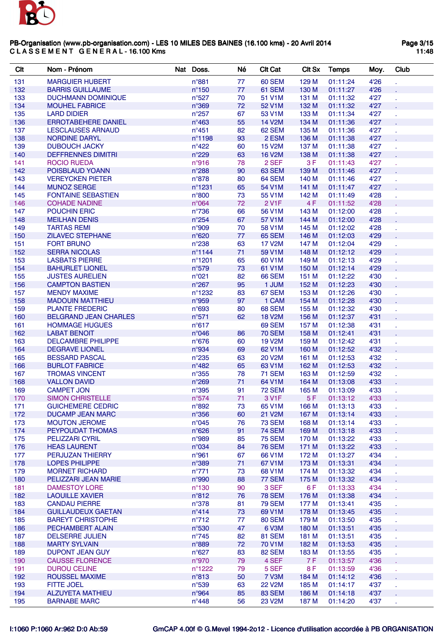

| Clt        | Nom - Prénom                                 | Nat Doss.                          | Né       | <b>CIt Cat</b>          | CIt Sx         | <b>Temps</b>         | Moy.         | Club |
|------------|----------------------------------------------|------------------------------------|----------|-------------------------|----------------|----------------------|--------------|------|
| 131        | <b>MARGUIER HUBERT</b>                       | $n^{\circ}881$                     | 77       | <b>60 SEM</b>           | 129 M          | 01:11:24             | 4'26         |      |
| 132        | <b>BARRIS GUILLAUME</b>                      | $n^{\circ}150$                     | 77       | 61 SEM                  | 130 M          | 01:11:27             | 4'26         |      |
| 133        | <b>DUCHMANN DOMINIQUE</b>                    | $n^{\circ}527$                     | 70       | 51 V1M                  | 131 M          | 01:11:32             | 4'27         |      |
| 134        | <b>MOUHEL FABRICE</b>                        | n°369                              | 72       | 52 V1M                  | 132 M          | 01:11:32             | 4'27         |      |
| 135        | <b>LARD DIDIER</b>                           | $n^{\circ}257$                     | 67       | 53 V1M                  | 133 M          | 01:11:34             | 4'27         |      |
| 136        | <b>ERROTABEHERE DANIEL</b>                   | $n^{\circ}463$                     | 55       | 14 V2M                  | 134 M          | 01:11:36             | 4'27         |      |
| 137        | <b>LESCLAUSES ARNAUD</b>                     | $n^{\circ}451$                     | 82       | 62 SEM                  | 135 M          | 01:11:36             | 4'27         |      |
| 138        | <b>NORDINE DARYL</b>                         | n°1198                             | 93       | 2 ESM                   | 136 M          | 01:11:38             | 4'27         |      |
| 139        | <b>DUBOUCH JACKY</b>                         | $n^{\circ}422$                     | 60       | <b>15 V2M</b>           | 137 M          | 01:11:38             | 4'27         |      |
| 140        | <b>DEFFRENNES DIMITRI</b>                    | $n^{\circ}229$                     | 63       | <b>16 V2M</b>           | 138 M          | 01:11:38             | 4'27         |      |
| 141        | <b>ROCIO RUEDA</b>                           | n°916                              | 78       | 2 SEF                   | 3F             | 01:11:43             | 4'27         |      |
| 142        | POISBLAUD YOANN                              | $n^{\circ}288$                     | 90       | 63 SEM                  | 139 M          | 01:11:46             | 4'27         |      |
| 143        | <b>VEREYCKEN PIETER</b>                      | $n^{\circ}878$                     | 80       | 64 SEM                  | 140 M          | 01:11:46             | 4'27         |      |
| 144        | <b>MUNOZ SERGE</b>                           | n°1231                             | 65       | 54 V1M                  | 141 M          | 01:11:47             | 4'27         |      |
| 145        | <b>FONTAINE SEBASTIEN</b>                    | $n^{\circ}800$                     | 73       | 55 V1M                  | 142 M          | 01:11:49             | 4'28         |      |
| 146        | <b>COHADE NADINE</b>                         | $n^{\circ}064$                     | 72       | 2 V <sub>1</sub> F      | 4F             | 01:11:52             | 4'28         |      |
| 147        | <b>POUCHIN ERIC</b>                          | $n^{\circ}736$                     | 66       | 56 V1M                  | 143 M          | 01:12:00             | 4'28         |      |
| 148<br>149 | <b>MEILHAN DENIS</b><br><b>TARTAS REMI</b>   | $n^{\circ}254$<br>n°909            | 67<br>70 | 57 V1M<br>58 V1M        | 144 M<br>145 M | 01:12:00<br>01:12:02 | 4'28<br>4'28 |      |
| 150        | <b>ZILAVEC STEPHANE</b>                      | $n^{\circ}620$                     | 77       | <b>65 SEM</b>           | 146 M          | 01:12:03             | 4'29         |      |
| 151        | <b>FORT BRUNO</b>                            | $n^{\circ}238$                     | 63       | <b>17 V2M</b>           | 147 M          | 01:12:04             | 4'29         |      |
| 152        | <b>SERRA NICOLAS</b>                         | $n^{\circ}1144$                    | 71       | 59 V1M                  | 148 M          | 01:12:12             | 4'29         |      |
| 153        | <b>LASBATS PIERRE</b>                        | n°1201                             | 65       | 60 V1M                  | 149 M          | 01:12:13             | 4'29         |      |
| 154        | <b>BAHURLET LIONEL</b>                       | n°579                              | 73       | 61 V1M                  | 150 M          | 01:12:14             | 4'29         |      |
| 155        | <b>JUSTES AURELIEN</b>                       | n°021                              | 82       | 66 SEM                  | 151 M          | 01:12:22             | 4'30         |      |
| 156        | <b>CAMPTON BASTIEN</b>                       | $n^{\circ}267$                     | 95       | 1 JUM                   | 152 M          | 01:12:23             | 4'30         |      |
| 157        | <b>MENDY MAXIME</b>                          | $n^{\circ}$ 1232                   | 83       | 67 SEM                  | 153 M          | 01:12:26             | 4'30         |      |
| 158        | <b>MADOUIN MATTHIEU</b>                      | n°959                              | 97       | 1 CAM                   | 154 M          | 01:12:28             | 4'30         |      |
| 159        | <b>PLANTE FREDERIC</b>                       | $n^{\circ}693$                     | 80       | <b>68 SEM</b>           | 155 M          | 01:12:32             | 4'30         |      |
| 160        | <b>BELGRAND JEAN CHARLES</b>                 | $n^{\circ}571$                     | 62       | <b>18 V2M</b>           | 156 M          | 01:12:37             | 4'31         |      |
| 161        | <b>HOMMAGE HUGUES</b>                        | $n^{\circ}617$                     |          | <b>69 SEM</b>           | 157 M          | 01:12:38             | 4'31         |      |
| 162        | <b>LABAT BENOIT</b>                          | $n^{\circ}046$                     | 86       | <b>70 SEM</b>           | 158 M          | 01:12:41             | 4'31         |      |
| 163        | <b>DELCAMBRE PHILIPPE</b>                    | $n^{\circ}676$                     | 60       | <b>19 V2M</b>           | 159 M          | 01:12:42             | 4'31         |      |
| 164        | <b>DEGRAVE LIONEL</b>                        | n°934                              | 69       | 62 V1M                  | 160 M          | 01:12:52             | 4'32         |      |
| 165        | <b>BESSARD PASCAL</b>                        | $n^{\circ}235$                     | 63       | <b>20 V2M</b>           | 161 M          | 01:12:53             | 4'32         |      |
| 166        | <b>BURLOT FABRICE</b>                        | $n^{\circ}482$                     | 65       | 63 V1M                  | 162 M          | 01:12:53             | 4'32         |      |
| 167        | <b>TROMAS VINCENT</b>                        | $n^{\circ}355$                     | 78       | <b>71 SEM</b>           | 163 M          | 01:12:59             | 4'32         |      |
| 168<br>169 | <b>VALLON DAVID</b><br><b>CAMPET JON</b>     | $n^{\circ}269$<br>$n^{\circ}395$   | 71<br>91 | 64 V1M<br><b>72 SEM</b> | 164 M<br>165 M | 01:13:08<br>01:13:09 | 4'33<br>4'33 |      |
| 170        | <b>SIMON CHRISTELLE</b>                      | $n^{\circ}574$                     | 71       | 3 V <sub>1</sub> F      | 5F             | 01:13:12             | 4'33         |      |
| 171        | <b>GUICHEMERE CEDRIC</b>                     | $n^{\circ}892$                     | 73       | 65 V1M                  | 166 M          | 01:13:13             | 4'33         |      |
| 172        | <b>DUCAMP JEAN MARC</b>                      | $n^{\circ}356$                     | 60       | 21 V2M                  | 167 M          | 01:13:14             | 4'33         |      |
| 173        | <b>MOUTON JEROME</b>                         | $n^{\circ}045$                     | 76       | <b>73 SEM</b>           | 168 M          | 01:13:14             | 4'33         |      |
| 174        | PEYPOUDAT THOMAS                             | $n^{\circ}626$                     | 91       | <b>74 SEM</b>           | 169 M          | 01:13:18             | 4'33         |      |
| 175        | PELIZZARI CYRIL                              | n°989                              | 85       | <b>75 SEM</b>           | 170 M          | 01:13:22             | 4'33         |      |
| 176        | <b>HEAS LAURENT</b>                          | $n^{\circ}034$                     | 84       | <b>76 SEM</b>           | 171 M          | 01:13:22             | 4'33         |      |
| 177        | PERJUZAN THIERRY                             | $n^{\circ}961$                     | 67       | 66 V1M                  | 172 M          | 01:13:27             | 4'34         |      |
| 178        | <b>LOPES PHILIPPE</b>                        | n°389                              | 71       | 67 V1M                  | 173 M          | 01:13:31             | 4'34         |      |
| 179        | <b>MORNET RICHARD</b>                        | $n^{\circ}771$                     | 73       | 68 V1M                  | 174 M          | 01:13:32             | 4'34         |      |
| 180        | PELIZZARI JEAN MARIE                         | n°990                              | 88       | 77 SEM                  | 175 M          | 01:13:32             | 4'34         |      |
| 181        | <b>DAMESTOY LORE</b>                         | $n^{\circ}130$                     | 90       | 3 SEF                   | 6 F            | 01:13:33             | 4'34         |      |
| 182        | <b>LAOUILLE XAVIER</b>                       | $n^{\circ}812$                     | 76       | <b>78 SEM</b>           | 176 M          | 01:13:38             | 4'34         |      |
| 183        | <b>CANDAU PIERRE</b>                         | $n^{\circ}378$                     | 81       | <b>79 SEM</b>           | 177 M          | 01:13:41             | 4'35         |      |
| 184        | <b>GUILLAUDEUX GAETAN</b>                    | $n^{\circ}414$                     | 73       | 69 V1M                  | 178 M          | 01:13:45             | 4'35         |      |
| 185        | <b>BAREYT CHRISTOPHE</b>                     | $n^{\circ}712$                     | 77       | <b>80 SEM</b>           | 179 M          | 01:13:50             | 4'35         |      |
| 186        | PECHAMBERT ALAIN                             | n°530                              | 47       | 6 V3M                   | 180 M          | 01:13:51             | 4'35         |      |
| 187        | <b>DELSERRE JULIEN</b>                       | $n^{\circ}$ 745                    | 82       | <b>81 SEM</b>           | 181 M          | 01:13:51             | 4'35         |      |
| 188        | <b>MARTY SYLVAIN</b>                         | $n^{\circ}889$                     | 72       | 70 V1M                  | 182 M          | 01:13:53             | 4'35         |      |
| 189        | <b>DUPONT JEAN GUY</b>                       | $n^{\circ}627$                     | 83       | <b>82 SEM</b>           | 183 M          | 01:13:55             | 4'35         |      |
| 190        | <b>CAUSSE FLORENCE</b>                       | n°970                              | 79       | 4 SEF                   | <b>7F</b>      | 01:13:57             | 4'36         |      |
| 191<br>192 | <b>DUROU CELINE</b><br><b>ROUSSEL MAXIME</b> | $n^{\circ}$ 1222<br>$n^{\circ}813$ | 79<br>50 | 5 SEF<br>7 V3M          | 8 F<br>184 M   | 01:13:59<br>01:14:12 | 4'36<br>4'36 |      |
| 193        | <b>FITTE JOEL</b>                            | $n^{\circ}539$                     | 63       | <b>22 V2M</b>           | 185 M          | 01:14:17             | 4'37         |      |
| 194        | <b>ALZUYETA MATHIEU</b>                      | $n^{\circ}964$                     | 85       | <b>83 SEM</b>           | 186 M          | 01:14:18             | 4'37         |      |
| 195        | <b>BARNABE MARC</b>                          | $n^{\circ}$ 448                    | 56       | 23 V2M                  | 187 M          | 01:14:20             | 4'37         |      |
|            |                                              |                                    |          |                         |                |                      |              |      |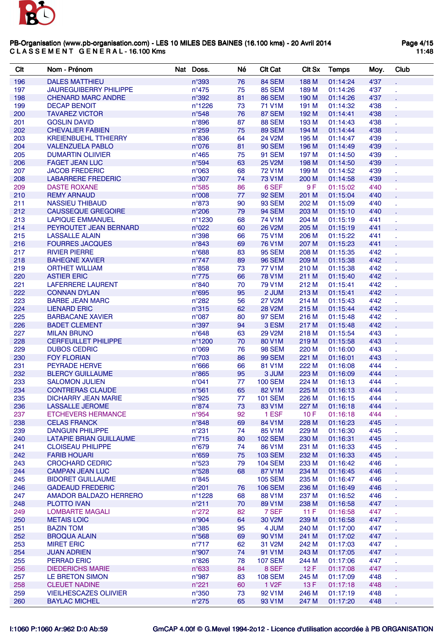

| Clt | Nom - Prénom                  | Nat Doss.        | Né | <b>Clt Cat</b>     | <b>CIt Sx</b> | <b>Temps</b> | Moy. | Club |
|-----|-------------------------------|------------------|----|--------------------|---------------|--------------|------|------|
| 196 | <b>DALES MATTHIEU</b>         | n°393            | 76 | <b>84 SEM</b>      | 188 M         | 01:14:24     | 4'37 |      |
| 197 | <b>JAUREGUIBERRY PHILIPPE</b> | $n^{\circ}475$   | 75 | <b>85 SEM</b>      | 189 M         | 01:14:26     | 4'37 |      |
| 198 | <b>CHENARD MARC ANDRE</b>     | n°392            | 81 | <b>86 SEM</b>      | 190 M         | 01:14:26     | 4'37 |      |
| 199 | <b>DECAP BENOIT</b>           | $n^{\circ}$ 1226 | 73 | 71 V1M             | 191 M         | 01:14:32     | 4'38 |      |
| 200 | <b>TAVAREZ VICTOR</b>         | $n^{\circ}$ 548  | 76 | 87 SEM             | 192 M         | 01:14:41     | 4'38 |      |
| 201 | <b>GOSLIN DAVID</b>           | $n^{\circ}896$   | 87 | <b>88 SEM</b>      | 193 M         | 01:14:43     | 4'38 |      |
| 202 | <b>CHEVALIER FABIEN</b>       | $n^{\circ}259$   | 75 | <b>89 SEM</b>      | 194 M         | 01:14:44     | 4'38 |      |
| 203 | <b>KREIENBUEHL TTHIERRY</b>   | $n^{\circ}836$   | 64 | 24 V2M             | 195 M         | 01:14:47     | 4'39 |      |
| 204 | <b>VALENZUELA PABLO</b>       | $n^{\circ}076$   | 81 | <b>90 SEM</b>      | 196 M         | 01:14:49     | 4'39 |      |
| 205 | <b>DUMARTIN OLIIVIER</b>      | $n^{\circ}465$   | 75 | <b>91 SEM</b>      | 197 M         | 01:14:50     | 4'39 |      |
| 206 | <b>FAGET JEAN LUC</b>         | $n^{\circ}594$   | 63 | 25 V2M             | 198 M         | 01:14:50     | 4'39 |      |
| 207 | <b>JACOB FREDERIC</b>         | n°063            | 68 | <b>72 V1M</b>      | 199 M         | 01:14:52     | 4'39 |      |
| 208 | <b>LABARRERE FREDERIC</b>     | n°307            | 74 | 73 V1M             | 200 M         | 01:14:58     | 4'39 |      |
| 209 | <b>DASTE ROXANE</b>           | $n^{\circ}$ 585  | 86 | 6 SEF              | 9 F           | 01:15:02     | 4'40 |      |
| 210 | <b>REMY ARNAUD</b>            | n°008            | 77 | <b>92 SEM</b>      | 201 M         | 01:15:04     | 4'40 |      |
| 211 | <b>NASSIEU THIBAUD</b>        | $n^{\circ}873$   | 90 | <b>93 SEM</b>      | 202 M         | 01:15:09     | 4'40 |      |
| 212 | <b>CAUSSEQUE GREGOIRE</b>     | $n^{\circ}206$   | 79 | <b>94 SEM</b>      | 203 M         | 01:15:10     | 4'40 |      |
| 213 | <b>LAPIQUE EMMANUEL</b>       | n°1230           | 68 | 74 V1M             | 204 M         | 01:15:19     | 4'41 |      |
| 214 | PEYROUTET JEAN BERNARD        | n°022            | 60 | 26 V2M             | 205 M         | 01:15:19     | 4'41 |      |
| 215 | <b>LASSALLE ALAIN</b>         | n°398            | 66 | 75 V1M             | 206 M         | 01:15:22     | 4'41 |      |
| 216 | <b>FOURRES JACQUES</b>        | $n^{\circ}843$   | 69 | 76 V1M             | 207 M         | 01:15:23     | 4'41 |      |
| 217 | <b>RIVIER PIERRE</b>          | $n^{\circ}688$   | 83 | <b>95 SEM</b>      | 208 M         | 01:15:35     | 4'42 |      |
| 218 | <b>BAHEGNE XAVIER</b>         | $n^{\circ}747$   | 89 | <b>96 SEM</b>      | 209 M         | 01:15:38     | 4'42 |      |
| 219 | <b>ORTHET WILLIAM</b>         | $n^{\circ}858$   | 73 | <b>77 V1M</b>      | 210 M         | 01:15:38     | 4'42 |      |
| 220 | <b>ASTIER ERIC</b>            | $n^{\circ}775$   | 66 | 78 V1M             | 211 M         | 01:15:40     | 4'42 |      |
| 221 | <b>LAFERRERE LAURENT</b>      | n°840            | 70 | 79 V1M             | 212 M         | 01:15:41     | 4'42 |      |
| 222 | <b>CONNAN DYLAN</b>           | $n^{\circ}$ 695  | 95 | 2 JUM              | 213 M         | 01:15:41     | 4'42 |      |
| 223 | <b>BARBE JEAN MARC</b>        | $n^{\circ}282$   | 56 | <b>27 V2M</b>      | 214 M         | 01:15:43     | 4'42 |      |
| 224 | <b>LIENARD ERIC</b>           | $n^{\circ}315$   | 62 | <b>28 V2M</b>      | 215 M         | 01:15:44     | 4'42 |      |
| 225 | <b>BARBACANE XAVIER</b>       | $n^{\circ}087$   | 80 | <b>97 SEM</b>      | 216 M         | 01:15:48     | 4'42 |      |
| 226 | <b>BADET CLEMENT</b>          | $n^{\circ}397$   | 94 | 3 ESM              | 217 M         | 01:15:48     | 4'42 |      |
| 227 | <b>MILAN BRUNO</b>            | $n^{\circ}648$   | 63 | <b>29 V2M</b>      | 218 M         | 01:15:54     | 4'43 |      |
| 228 | <b>CERFEUILLET PHILIPPE</b>   | n°1200           | 70 | 80 V1M             | 219 M         | 01:15:58     | 4'43 |      |
| 229 | <b>DUBOS CEDRIC</b>           | n°069            | 76 | <b>98 SEM</b>      | 220 M         | 01:16:00     | 4'43 |      |
| 230 | <b>FOY FLORIAN</b>            | n°703            | 86 | <b>99 SEM</b>      | 221 M         | 01:16:01     | 4'43 |      |
| 231 | PEYRADE HERVE                 | $n^{\circ}666$   | 66 | 81 V1M             | 222 M         | 01:16:08     | 4'44 |      |
| 232 | <b>BLERCY GUILLAUME</b>       | $n^{\circ}865$   | 95 | 3 JUM              | 223 M         | 01:16:09     | 4'44 |      |
| 233 | <b>SALOMON JULIEN</b>         | n°041            | 77 | <b>100 SEM</b>     | 224 M         | 01:16:13     | 4'44 |      |
| 234 | <b>CONTRERAS CLAUDE</b>       | $n^{\circ}561$   | 65 | 82 V1M             | 225 M         | 01:16:13     | 4'44 |      |
| 235 | <b>DICHARRY JEAN MARIE</b>    | n°925            | 77 | <b>101 SEM</b>     | 226 M         | 01:16:15     | 4'44 |      |
| 236 | <b>LASSALLE JEROME</b>        | n°874            | 73 | 83 V1M             | 227 M         | 01:16:18     | 4'44 |      |
| 237 | <b>ETCHEVERS HERMANCE</b>     | n°954            | 92 | 1 ESF              | 10F           | 01:16:18     | 4'44 |      |
| 238 | <b>CELAS FRANCK</b>           | n°848            | 69 | 84 V1M             | 228 M         | 01:16:23     | 4'45 |      |
| 239 | <b>DANGUIN PHILIPPE</b>       | $n^{\circ}231$   | 74 | 85 V1M             | 229 M         | 01:16:30     | 4'45 |      |
| 240 | LATAPIE BRIAN GUILLAUME       | $n^{\circ}$ 715  | 80 | <b>102 SEM</b>     | 230 M         | 01:16:31     | 4'45 |      |
| 241 | <b>CLOISEAU PHILIPPE</b>      | $n^{\circ}679$   | 74 | 86 V1M             | 231 M         | 01:16:33     | 4'45 |      |
| 242 | <b>FARIB HOUARI</b>           | $n^{\circ}659$   | 75 | <b>103 SEM</b>     | 232 M         | 01:16:33     | 4'45 |      |
| 243 | <b>CROCHARD CEDRIC</b>        | $n^{\circ}523$   | 79 | <b>104 SEM</b>     | 233 M         | 01:16:42     | 4'46 |      |
| 244 | <b>CAMPAN JEAN LUC</b>        | $n^{\circ}528$   | 68 | 87 V1M             | 234 M         | 01:16:45     | 4'46 |      |
| 245 | <b>BIDORET GUILLAUME</b>      | $n^{\circ}845$   |    | <b>105 SEM</b>     | 235 M         | 01:16:47     | 4'46 |      |
| 246 | <b>GADEAUD FREDERIC</b>       | $n^{\circ}201$   | 76 | <b>106 SEM</b>     | 236 M         | 01:16:49     | 4'46 |      |
| 247 | AMADOR BALDAZO HERRERO        | n°1228           | 68 | 88 V1M             | 237 M         | 01:16:52     | 4'46 |      |
| 248 | <b>PLOTTO IVAN</b>            | $n^{\circ}211$   | 70 | 89 V1M             | 238 M         | 01:16:58     | 4'47 |      |
| 249 | <b>LOMBARTE MAGALI</b>        | $n^{\circ}272$   | 82 | 7 SEF              | 11F           | 01:16:58     | 4'47 |      |
| 250 | <b>METAIS LOIC</b>            | n°904            | 64 | 30 V2M             | 239 M         | 01:16:58     | 4'47 |      |
| 251 | <b>BAZIN TOM</b>              | $n^{\circ}385$   | 95 | 4 JUM              | 240 M         | 01:17:00     | 4'47 |      |
| 252 | <b>BROQUA ALAIN</b>           | $n^{\circ}$ 568  | 69 | 90 V1M             | 241 M         | 01:17:02     | 4'47 |      |
| 253 | <b>MIRET ERIC</b>             | $n^{\circ}717$   | 62 | 31 V2M             | 242 M         | 01:17:03     | 4'47 | ä,   |
| 254 | <b>JUAN ADRIEN</b>            | n°907            | 74 | 91 V1M             | 243 M         | 01:17:05     | 4'47 |      |
| 255 | <b>PERRAD ERIC</b>            | $n^{\circ}826$   | 78 | <b>107 SEM</b>     | 244 M         | 01:17:06     | 4'47 |      |
| 256 | <b>DIEDERICHS MARIE</b>       | $n^{\circ}633$   | 84 | 8 SEF              | 12F           | 01:17:08     | 4'47 |      |
| 257 | LE BRETON SIMON               | $n^{\circ}987$   | 83 | <b>108 SEM</b>     | 245 M         | 01:17:09     | 4'48 |      |
| 258 | <b>CLEUET NADINE</b>          | $n^{\circ}221$   | 60 | 1 V <sub>2</sub> F | 13 F          | 01:17:18     | 4'48 |      |
| 259 | <b>VIEILHESCAZES OLIIVIER</b> | $n^{\circ}350$   | 73 | 92 V1M             | 246 M         | 01:17:19     | 4'48 |      |
| 260 | <b>BAYLAC MICHEL</b>          | $n^{\circ}275$   | 65 | 93 V1M             | 247 M         | 01:17:20     | 4'48 |      |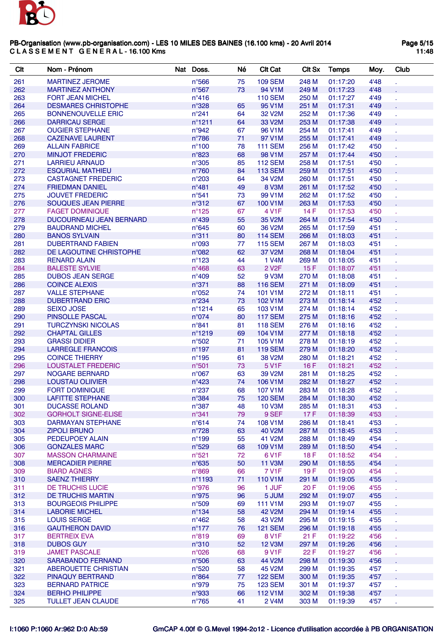

| Clt | Nom - Prénom               | Nat Doss.        | Né | <b>CIt Cat</b>      | <b>CIt Sx</b> | <b>Temps</b> | Moy. | Club |
|-----|----------------------------|------------------|----|---------------------|---------------|--------------|------|------|
| 261 | <b>MARTINEZ JEROME</b>     | $n^{\circ}$ 566  | 75 | <b>109 SEM</b>      | 248 M         | 01:17:20     | 4'48 |      |
| 262 | <b>MARTINEZ ANTHONY</b>    | $n^{\circ}567$   | 73 | 94 V1M              | 249 M         | 01:17:23     | 4'48 |      |
| 263 | <b>FORT JEAN MICHEL</b>    | $n^{\circ}416$   |    | <b>110 SEM</b>      | 250 M         | 01:17:27     | 4'49 |      |
| 264 | <b>DESMARES CHRISTOPHE</b> | $n^{\circ}328$   | 65 | 95 V1M              | 251 M         | 01:17:31     | 4'49 |      |
| 265 | <b>BONNENOUVELLE ERIC</b>  | $n^{\circ}241$   | 64 | 32 V2M              | 252 M         | 01:17:36     | 4'49 |      |
| 266 | <b>DARRICAU SERGE</b>      | $n^{\circ}$ 1211 | 64 | 33 V2M              | 253 M         | 01:17:38     | 4'49 |      |
| 267 | <b>OUGIER STEPHANE</b>     | $n^{\circ}942$   | 67 | 96 V1M              | 254 M         | 01:17:41     | 4'49 |      |
| 268 | <b>CAZENAVE LAURENT</b>    | $n^{\circ}786$   | 71 | 97 V1M              | 255 M         | 01:17:41     | 4'49 |      |
| 269 | <b>ALLAIN FABRICE</b>      | $n^{\circ}100$   | 78 | <b>111 SEM</b>      | 256 M         | 01:17:42     | 4'50 |      |
| 270 | <b>MINJOT FREDERIC</b>     | $n^{\circ}$ 823  | 68 | 98 V1M              | 257 M         | 01:17:44     | 4'50 |      |
| 271 | <b>LARRIEU ARNAUD</b>      | $n^{\circ}305$   | 85 | <b>112 SEM</b>      | 258 M         | 01:17:51     | 4'50 |      |
| 272 | <b>ESQURIAL MATHIEU</b>    | n°760            | 84 | <b>113 SEM</b>      | 259 M         | 01:17:51     | 4'50 |      |
| 273 | <b>CASTAGNET FREDERIC</b>  | $n^{\circ}203$   | 64 | 34 V2M              | 260 M         | 01:17:51     | 4'50 |      |
| 274 | <b>FRIEDMAN DANIEL</b>     | $n^{\circ}481$   | 49 | 8 V3M               | 261 M         | 01:17:52     | 4'50 |      |
| 275 | <b>JOUVET FREDERIC</b>     | $n^{\circ}541$   | 73 | 99 V1M              | 262 M         | 01:17:52     | 4'50 |      |
| 276 | SOUQUES JEAN PIERRE        | $n^{\circ}312$   | 67 | 100 V1M             | 263 M         | 01:17:53     | 4'50 |      |
| 277 | <b>FAGET DOMINIQUE</b>     | $n^{\circ}125$   | 67 | 4 V1F               | 14 F          | 01:17:53     | 4'50 |      |
| 278 | DUCOURNEAU JEAN BERNARD    | $n^{\circ}439$   | 55 | 35 V2M              | 264 M         | 01:17:54     | 4'50 |      |
| 279 | <b>BAUDRAND MICHEL</b>     | $n^{\circ}645$   | 60 | 36 V2M              | 265 M         | 01:17:59     | 4'51 |      |
| 280 | <b>BANOS SYLVAIN</b>       | $n^{\circ}311$   | 80 | <b>114 SEM</b>      | 266 M         | 01:18:03     | 4'51 |      |
| 281 | <b>DUBERTRAND FABIEN</b>   | n°093            | 77 | <b>115 SEM</b>      | 267 M         | 01:18:03     | 4'51 |      |
| 282 | DE LAGOUTINE CHRISTOPHE    | $n^{\circ}082$   | 62 | 37 V2M              | 268 M         | 01:18:04     | 4'51 |      |
| 283 | <b>RENARD ALAIN</b>        | $n^{\circ}123$   | 44 | 1 V4M               | 269 M         | 01:18:05     | 4'51 |      |
| 284 | <b>BALESTE SYLVIE</b>      | $n^{\circ}468$   | 63 | 2 V <sub>2</sub> F  | 15 F          | 01:18:07     | 4'51 |      |
| 285 | <b>DUBOS JEAN SERGE</b>    | $n^{\circ}409$   | 52 | 9 V3M               | 270 M         | 01:18:08     | 4'51 |      |
| 286 | <b>COINCE ALEXIS</b>       | $n^{\circ}371$   | 88 | <b>116 SEM</b>      | 271 M         | 01:18:09     | 4'51 |      |
| 287 | <b>VALLE STEPHANE</b>      | $n^{\circ}052$   | 74 | 101 V1M             | 272 M         | 01:18:11     | 4'51 |      |
| 288 | <b>DUBERTRAND ERIC</b>     | $n^{\circ}234$   | 73 | 102 V1M             | 273 M         | 01:18:14     | 4'52 |      |
| 289 | <b>SEIXO JOSE</b>          | $n^{\circ}$ 1214 | 65 | 103 V1M             | 274 M         | 01:18:14     | 4'52 |      |
| 290 | <b>PINSOLLE PASCAL</b>     | $n^{\circ}074$   | 80 | <b>117 SEM</b>      | 275 M         | 01:18:16     | 4'52 |      |
| 291 | <b>TURCZYNSKI NICOLAS</b>  | $n^{\circ}841$   | 81 | <b>118 SEM</b>      | 276 M         | 01:18:16     | 4'52 |      |
| 292 | <b>CHAPTAL GILLES</b>      | n°1219           | 69 | 104 V1M             | 277 M         | 01:18:18     | 4'52 |      |
| 293 | <b>GRASSI DIDIER</b>       | n°502            | 71 | 105 V1M             | 278 M         | 01:18:19     | 4'52 |      |
| 294 | <b>LARREGLE FRANCOIS</b>   | $n^{\circ}$ 197  | 81 | <b>119 SEM</b>      | 279 M         | 01:18:20     | 4'52 |      |
| 295 | <b>COINCE THIERRY</b>      | $n^{\circ}195$   | 61 | 38 V2M              | 280 M         | 01:18:21     | 4'52 |      |
| 296 | <b>LOUSTALET FREDERIC</b>  | n°501            | 73 | 5 V1F               | 16F           | 01:18:21     | 4'52 |      |
| 297 | <b>NOGARE BERNARD</b>      | $n^{\circ}067$   | 63 | 39 V <sub>2</sub> M | 281 M         | 01:18:25     | 4'52 |      |
| 298 | <b>LOUSTAU OLIIVIER</b>    | $n^{\circ}423$   | 74 | 106 V1M             | 282 M         | 01:18:27     | 4'52 |      |
| 299 | <b>FORT DOMINIQUE</b>      | $n^{\circ}237$   | 68 | 107 V1M             | 283 M         | 01:18:28     | 4'52 |      |
| 300 | <b>LAFITTE STEPHANE</b>    | n°384            | 75 | <b>120 SEM</b>      | 284 M         | 01:18:30     | 4'52 |      |
| 301 | <b>DUCASSE ROLAND</b>      | $n^{\circ}387$   | 48 | <b>10 V3M</b>       | 285 M         | 01:18:31     | 4'53 |      |
| 302 | <b>GORHOLT SIGNE-ELISE</b> | $n^{\circ}341$   | 79 | 9 SEF               | 17F           | 01:18:39     | 4'53 |      |
| 303 | DARMAYAN STEPHANE          | $n^{\circ}614$   | 74 | 108 V1M             | 286 M         | 01:18:41     | 4'53 |      |
| 304 | <b>ZIPOLI BRUNO</b>        | $n^{\circ}728$   | 63 | 40 V2M              | 287 M         | 01:18:45     | 4'53 |      |
| 305 | PEDEUPOEY ALAIN            | $n^{\circ}$ 199  | 55 | 41 V2M              | 288 M         | 01:18:49     | 4'54 |      |
| 306 | <b>GONZALES MARC</b>       | $n^{\circ}529$   | 68 | 109 V1M             | 289 M         | 01:18:50     | 4'54 |      |
| 307 | <b>MASSON CHARMAINE</b>    | $n^{\circ}521$   | 72 | 6 V <sub>1</sub> F  | 18 F          | 01:18:52     | 4'54 |      |
| 308 | <b>MERCADIER PIERRE</b>    | $n^{\circ}635$   | 50 | <b>11 V3M</b>       | 290 M         | 01:18:55     | 4'54 |      |
| 309 | <b>BIARD AGNES</b>         | $n^{\circ}869$   | 66 | 7 V <sub>1</sub> F  | 19F           | 01:19:00     | 4'54 |      |
| 310 | <b>SAENZ THIERRY</b>       | n°1193           | 71 | 110 V1M             | 291 M         | 01:19:05     | 4'55 |      |
| 311 | DE TRUCHIS LUCIE           | $n^{\circ}976$   | 96 | 1 JUF               | 20 F          | 01:19:06     | 4'55 |      |
| 312 | <b>DE TRUCHIS MARTIN</b>   | $n^{\circ}975$   | 96 | 5 JUM               | 292 M         | 01:19:07     | 4'55 |      |
| 313 | <b>BOURGEOIS PHILIPPE</b>  | $n^{\circ}509$   | 69 | 111 V1M             | 293 M         | 01:19:07     | 4'55 |      |
| 314 | <b>LABORIE MICHEL</b>      | $n^{\circ}$ 134  | 58 | 42 V2M              | 294 M         | 01:19:14     | 4'55 |      |
| 315 | <b>LOUIS SERGE</b>         | $n^{\circ}462$   | 58 | 43 V2M              | 295 M         | 01:19:15     | 4'55 |      |
| 316 | <b>GAUTHERON DAVID</b>     | $n^{\circ}177$   | 76 | <b>121 SEM</b>      | 296 M         | 01:19:18     | 4'55 |      |
| 317 | <b>BERTREIX EVA</b>        | $n^{\circ}819$   | 69 | 8 V <sub>1</sub> F  | 21 F          | 01:19:22     | 4'56 |      |
| 318 | <b>DUBOS GUY</b>           | $n^{\circ}310$   | 52 | <b>12 V3M</b>       | 297 M         | 01:19:26     | 4'56 |      |
| 319 | <b>JAMET PASCALE</b>       | n°026            | 68 | 9 V <sub>1</sub> F  | 22 F          | 01:19:27     | 4'56 |      |
| 320 | <b>SARABANDO FERNAND</b>   | $n^{\circ}506$   | 63 | 44 V2M              | 298 M         | 01:19:30     | 4'56 |      |
| 321 | ABEROUETTE CHRISTIAN       | $n^{\circ}520$   | 58 | 45 V2M              | 299 M         | 01:19:35     | 4'57 |      |
| 322 | <b>PINAQUY BERTRAND</b>    | $n^{\circ}864$   | 77 | <b>122 SEM</b>      | 300 M         | 01:19:35     | 4'57 |      |
| 323 | <b>BERNARD PATRICE</b>     | $n^{\circ}979$   | 75 | <b>123 SEM</b>      | 301 M         | 01:19:37     | 4'57 |      |
| 324 | <b>BERHO PHILIPPE</b>      | n°933            | 66 | 112 V1M             | 302 M         | 01:19:38     | 4'57 |      |
| 325 | TULLET JEAN CLAUDE         | $n^{\circ}765$   | 41 | 2 V4M               | 303 M         | 01:19:39     | 4'57 |      |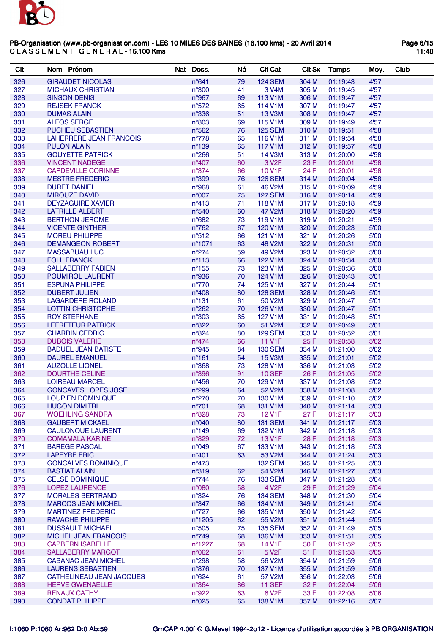

| Clt        | Nom - Prénom                                        | Nat Doss.                        | Né       | <b>CIt Cat</b>           | <b>CIt Sx</b>  | <b>Temps</b>         | Moy.         | Club |
|------------|-----------------------------------------------------|----------------------------------|----------|--------------------------|----------------|----------------------|--------------|------|
| 326        | <b>GIRAUDET NICOLAS</b>                             | $n^{\circ}641$                   | 79       | <b>124 SEM</b>           | 304 M          | 01:19:43             | 4'57         |      |
| 327        | <b>MICHAUX CHRISTIAN</b>                            | $n^{\circ}300$                   | 41       | 3 V4M                    | 305 M          | 01:19:45             | 4'57         |      |
| 328        | <b>SINSON DENIS</b>                                 | $n^{\circ}967$                   | 69       | 113 V1M                  | 306 M          | 01:19:47             | 4'57         |      |
| 329        | <b>REJSEK FRANCK</b>                                | $n^{\circ}572$                   | 65       | 114 V1M                  | 307 M          | 01:19:47             | 4'57         |      |
| 330        | <b>DUMAS ALAIN</b>                                  | n°336                            | 51       | <b>13 V3M</b>            | 308 M          | 01:19:47             | 4'57         |      |
| 331        | <b>ALFOS SERGE</b>                                  | $n^{\circ}803$                   | 69       | 115 V1M                  | 309 M          | 01:19:49             | 4'57         |      |
| 332        | PUCHEU SEBASTIEN                                    | n°562                            | 76       | <b>125 SEM</b>           | 310 M          | 01:19:51             | 4'58         |      |
| 333        | <b>LAHERRERE JEAN FRANCOIS</b>                      | $n^{\circ}778$                   | 65       | 116 V1M                  | 311 M          | 01:19:54             | 4'58         |      |
| 334        | <b>PULON ALAIN</b>                                  | $n^{\circ}$ 139                  | 65       | <b>117 V1M</b>           | 312 M          | 01:19:57             | 4'58         |      |
| 335        | <b>GOUYETTE PATRICK</b>                             | $n^{\circ}266$                   | 51       | <b>14 V3M</b>            | 313 M          | 01:20:00             | 4'58         |      |
| 336        | <b>VINCENT NADEGE</b>                               | $n^{\circ}407$                   | 60       | 3 V <sub>2</sub> F       | 23 F           | 01:20:01             | 4'58         |      |
| 337        | <b>CAPDEVILLE CORINNE</b>                           | $n^{\circ}374$                   | 66       | 10 V1F                   | 24 F           | 01:20:01             | 4'58         |      |
| 338        | <b>MESTRE FREDERIC</b>                              | n°399                            | 76       | <b>126 SEM</b>           | 314 M          | 01:20:04             | 4'58         |      |
| 339        | <b>DURET DANIEL</b>                                 | n°968                            | 61       | 46 V2M                   | 315 M          | 01:20:09             | 4'59         |      |
| 340        | <b>MIROUZE DAVID</b>                                | $n^{\circ}007$                   | 75       | <b>127 SEM</b>           | 316 M          | 01:20:14             | 4'59         |      |
| 341        | <b>DEYZAGUIRE XAVIER</b>                            | $n^{\circ}413$                   | 71       | 118 V1M                  | 317 M          | 01:20:18             | 4'59         |      |
| 342        | <b>LATRILLE ALBERT</b>                              | $n^{\circ}540$                   | 60       | 47 V2M                   | 318 M          | 01:20:20             | 4'59         |      |
| 343<br>344 | <b>BERTHON JEROME</b><br><b>VICENTE GINTHER</b>     | $n^{\circ}682$<br>$n^{\circ}762$ | 73<br>67 | 119 V1M<br>120 V1M       | 319 M<br>320 M | 01:20:21<br>01:20:23 | 4'59<br>5'00 |      |
| 345        | <b>MOREU PHILIPPE</b>                               | $n^{\circ}512$                   | 66       | 121 V1M                  | 321 M          | 01:20:26             | 5'00         |      |
| 346        | <b>DEMANGEON ROBERT</b>                             | n°1071                           | 63       | 48 V2M                   | 322 M          | 01:20:31             | 5'00         |      |
| 347        | <b>MASSABUAU LUC</b>                                | $n^{\circ}274$                   | 59       | 49 V2M                   | 323 M          | 01:20:32             | 5'00         |      |
| 348        | <b>FOLL FRANCK</b>                                  | $n^{\circ}113$                   | 66       | 122 V1M                  | 324 M          | 01:20:34             | 5'00         |      |
| 349        | <b>SALLABERRY FABIEN</b>                            | $n^{\circ}155$                   | 73       | 123 V1M                  | 325 M          | 01:20:36             | 5'00         |      |
| 350        | <b>POUMIROL LAURENT</b>                             | n°936                            | 70       | 124 V1M                  | 326 M          | 01:20:43             | 5'01         |      |
| 351        | <b>ESPUNA PHILIPPE</b>                              | $n^{\circ}770$                   | 74       | 125 V1M                  | 327 M          | 01:20:44             | 5'01         |      |
| 352        | <b>DUBERT JULIEN</b>                                | $n^{\circ}408$                   | 80       | <b>128 SEM</b>           | 328 M          | 01:20:46             | 5'01         |      |
| 353        | <b>LAGARDERE ROLAND</b>                             | $n^{\circ}$ 131                  | 61       | 50 V2M                   | 329 M          | 01:20:47             | 5'01         |      |
| 354        | <b>LOTTIN CHRISTOPHE</b>                            | $n^{\circ}262$                   | 70       | 126 V1M                  | 330 M          | 01:20:47             | 5'01         |      |
| 355        | <b>ROY STEPHANE</b>                                 | n°303                            | 65       | <b>127 V1M</b>           | 331 M          | 01:20:48             | 5'01         |      |
| 356        | <b>LEFRETEUR PATRICK</b>                            | $n^{\circ}822$                   | 60       | 51 V2M                   | 332 M          | 01:20:49             | 5'01         |      |
| 357        | <b>CHARDIN CEDRIC</b>                               | $n^{\circ}824$                   | 80       | <b>129 SEM</b>           | 333 M          | 01:20:52             | 5'01         |      |
| 358        | <b>DUBOIS VALERIE</b>                               | $n^{\circ}474$                   | 66       | <b>11 V1F</b>            | 25 F           | 01:20:58             | 5'02         |      |
| 359        | <b>BADUEL JEAN BATISTE</b>                          | n°945                            | 84       | <b>130 SEM</b>           | 334 M          | 01:21:00             | 5'02         |      |
| 360        | <b>DAUREL EMANUEL</b>                               | $n^{\circ}161$                   | 54       | <b>15 V3M</b>            | 335 M          | 01:21:01             | 5'02         |      |
| 361        | <b>AUZOLLE LIONEL</b>                               | $n^{\circ}368$                   | 73       | 128 V1M                  | 336 M          | 01:21:03             | 5'02         |      |
| 362        | <b>DOURTHE CELINE</b>                               | n°396                            | 91       | <b>10 SEF</b>            | 26 F           | 01:21:05             | 5'02         |      |
| 363        | <b>LOIREAU MARCEL</b>                               | $n^{\circ}456$                   | 70       | 129 V1M                  | 337 M          | 01:21:08             | 5'02         |      |
| 364        | <b>GONCAVES LOPES JOSE</b>                          | n°299                            | 64       | 52 V2M                   | 338 M          | 01:21:08             | 5'02         |      |
| 365        | <b>LOUPIEN DOMINIQUE</b>                            | $n^{\circ}270$                   | 70       | 130 V1M                  | 339 M          | 01:21:10             | 5'02         |      |
| 366        | <b>HUGON DIMITRI</b>                                | $n^{\circ}701$                   | 68       | 131 V1M                  | 340 M          | 01:21:14             | 5'03         |      |
| 367        | <b>WOEHLING SANDRA</b>                              | $n^{\circ}828$                   | 73       | <b>12 V1F</b>            | 27 F           | 01:21:17             | 5'03         |      |
| 368        | <b>GAUBERT MICKAEL</b>                              | n°040                            | 80       | <b>131 SEM</b>           | 341 M          | 01:21:17             | 5'03         |      |
| 369        | <b>CAULONQUE LAURENT</b>                            | $n^{\circ}149$                   | 69       | 132 V1M                  | 342 M          | 01:21:18             | 5'03         |      |
| 370        | <b>COMAMALA KARINE</b>                              | n°829                            | 72       | 13 V1F                   | 28 F           | 01:21:18             | 5'03         |      |
| 371        | <b>BAREGE PASCAL</b>                                | n°049                            | 67       | 133 V1M                  | 343 M          | 01:21:18             | 5'03         |      |
| 372        | <b>LAPEYRE ERIC</b>                                 | $n^{\circ}401$                   | 63       | 53 V2M                   | 344 M          | 01:21:24             | 5'03         |      |
| 373        | <b>GONCALVES DOMINIQUE</b>                          | $n^{\circ}473$                   |          | <b>132 SEM</b>           | 345 M          | 01:21:25             | 5'03         |      |
| 374        | <b>BASTIAT ALAIN</b>                                | n°319                            | 62       | 54 V2M                   | 346 M          | 01:21:27             | 5'03         |      |
| 375        | <b>CELSE DOMINIQUE</b>                              | $n^{\circ}$ 744                  | 76       | <b>133 SEM</b>           | 347 M          | 01:21:28             | 5'04         |      |
| 376        | <b>LOPEZ LAURENCE</b>                               | n°080                            | 58       | 4 V <sub>2</sub> F       | 29 F           | 01:21:29             | 5'04         |      |
| 377        | <b>MORALES BERTRAND</b>                             | $n^{\circ}324$                   | 76       | <b>134 SEM</b>           | 348 M          | 01:21:30             | 5'04         |      |
| 378        | <b>MARCOS JEAN MICHEL</b>                           | $n^{\circ}347$                   | 66       | 134 V1M                  | 349 M          | 01:21:41             | 5'04         |      |
| 379        | <b>MARTINEZ FREDERIC</b><br><b>RAVACHE PHILIPPE</b> | $n^{\circ}727$                   | 66       | 135 V1M                  | 350 M          | 01:21:42             | 5'04         |      |
| 380<br>381 | <b>DUSSAULT MICHAEL</b>                             | n°1205<br>$n^{\circ}505$         | 62<br>75 | 55 V2M<br><b>135 SEM</b> | 351 M<br>352 M | 01:21:44<br>01:21:49 | 5'05<br>5'05 |      |
| 382        | <b>MICHEL JEAN FRANCOIS</b>                         | $n^{\circ}749$                   | 68       | 136 V1M                  | 353 M          |                      | 5'05         |      |
| 383        | <b>CAPBERN ISABELLE</b>                             | $n^{\circ}1227$                  | 68       | 14 V1F                   | 30 F           | 01:21:51<br>01:21:52 | 5'05         |      |
| 384        | <b>SALLABERRY MARGOT</b>                            | n°062                            | 61       | 5 V <sub>2</sub> F       | 31 F           | 01:21:53             | 5'05         |      |
| 385        | <b>CABANAC JEAN MICHEL</b>                          | $n^{\circ}298$                   | 58       | 56 V2M                   | 354 M          | 01:21:59             | 5'06         |      |
| 386        | <b>LAURENS SEBASTIEN</b>                            | $n^{\circ}876$                   | 70       | <b>137 V1M</b>           | 355 M          | 01:21:59             | 5'06         |      |
| 387        | CATHELINEAU JEAN JACQUES                            | $n^{\circ}624$                   | 61       | 57 V2M                   | 356 M          | 01:22:03             | 5'06         |      |
| 388        | <b>HERVE GWENAELLE</b>                              | $n^{\circ}364$                   | 86       | <b>11 SEF</b>            | 32 F           | 01:22:04             | 5'06         |      |
| 389        | <b>RENAUX CATHY</b>                                 | n°922                            | 63       | 6 V <sub>2</sub> F       | 33 F           | 01:22:08             | 5'06         |      |
| 390        | <b>CONDAT PHILIPPE</b>                              | n°025                            | 65       | 138 V1M                  | 357 M          | 01:22:16             | 5'07         |      |
|            |                                                     |                                  |          |                          |                |                      |              |      |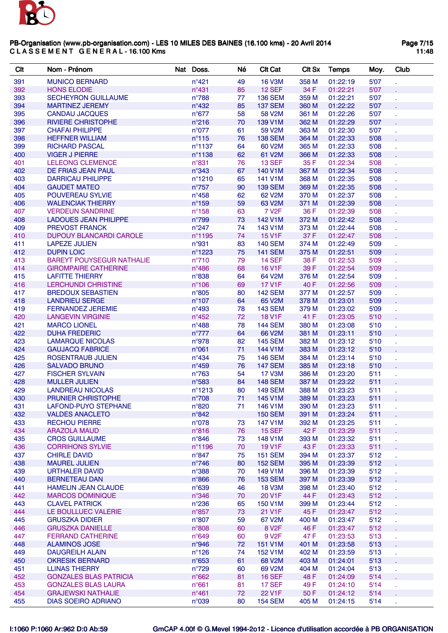

| Clt        | Nom - Prénom                                            | Nat Doss.                        | Né       | <b>CIt Cat</b>                  | <b>CIt Sx</b> | <b>Temps</b> | Moy.         | Club |
|------------|---------------------------------------------------------|----------------------------------|----------|---------------------------------|---------------|--------------|--------------|------|
| 391        | <b>MUNICO BERNARD</b>                                   | $n^{\circ}421$                   | 49       | <b>16 V3M</b>                   | 358 M         | 01:22:19     | 5'07         |      |
| 392        | <b>HONS ELODIE</b>                                      | $n^{\circ}431$                   | 85       | <b>12 SEF</b>                   | 34 F          | 01:22:21     | 5'07         |      |
| 393        | <b>SECHEYRON GUILLAUME</b>                              | $n^{\circ}788$                   | 77       | <b>136 SEM</b>                  | 359 M         | 01:22:21     | 5'07         |      |
| 394        | <b>MARTINEZ JEREMY</b>                                  | $n^{\circ}432$                   | 85       | <b>137 SEM</b>                  | 360 M         | 01:22:22     | 5'07         |      |
| 395        | <b>CANDAU JACQUES</b>                                   | $n^{\circ}677$                   | 58       | 58 V2M                          | 361 M         | 01:22:26     | 5'07         |      |
| 396        | <b>RIVIERE CHRISTOPHE</b>                               | $n^{\circ}216$                   | 70       | 139 V1M                         | 362 M         | 01:22:29     | 5'07         |      |
| 397        | <b>CHAFAI PHILIPPE</b>                                  | $n^{\circ}077$                   | 61       | 59 V2M                          | 363 M         | 01:22:30     | 5'07         |      |
| 398        | <b>HEFFNER WILLIAM</b>                                  | $n^{\circ}115$                   | 76       | <b>138 SEM</b>                  | 364 M         | 01:22:33     | 5'08         |      |
| 399        | <b>RICHARD PASCAL</b>                                   | $n^{\circ}$ 1137                 | 64       | 60 V <sub>2</sub> M             | 365 M         | 01:22:33     | 5'08         |      |
| 400        | <b>VIGER J PIERRE</b>                                   | n°1138                           | 62       | 61 V2M                          | 366 M         | 01:22:33     | 5'08         |      |
| 401        | LELEONG CLEMENCE                                        | $n^{\circ}831$                   | 76       | <b>13 SEF</b>                   | 35 F          | 01:22:34     | 5'08         |      |
| 402        | DE FRIAS JEAN PAUL                                      | $n^{\circ}343$                   | 67       | 140 V1M                         | 367 M         | 01:22:34     | 5'08         |      |
| 403        | <b>DARRICAU PHILIPPE</b>                                | $n^{\circ}$ 1210                 | 65       | 141 V1M                         | 368 M         | 01:22:35     | 5'08         |      |
| 404        | <b>GAUDET MATEO</b>                                     | $n^{\circ}757$                   | 90       | <b>139 SEM</b>                  | 369 M         | 01:22:35     | 5'08         |      |
| 405        | POUVEREAU SYLVIE                                        | $n^{\circ}458$                   | 62       | 62 V2M                          | 370 M         | 01:22:37     | 5'08         |      |
| 406        | <b>WALENCIAK THIERRY</b>                                | $n^{\circ}159$                   | 59       | 63 V2M                          | 371 M         | 01:22:39     | 5'08         |      |
| 407        | <b>VERDEUN SANDRINE</b>                                 | $n^{\circ}158$                   | 63       | 7 V <sub>2</sub> F              | 36 F          | 01:22:39     | 5'08         |      |
| 408        | <b>LADOUES JEAN PHILIPPE</b>                            | $n^{\circ}799$                   | 73       | 142 V1M                         | 372 M         | 01:22:42     | 5'08         |      |
| 409        | PREVOST FRANCK                                          | $n^{\circ}247$                   | 74       | 143 V1M                         | 373 M         | 01:22:44     | 5'08         |      |
| 410        | <b>DUPOUY BLANCARDI CAROLE</b>                          | n°1195                           | 74       | 15 V1F                          | 37 F          | 01:22:47     | 5'08         |      |
| 411        | <b>LAPEZE JULIEN</b>                                    | n°931                            | 83       | <b>140 SEM</b>                  | 374 M         | 01:22:49     | 5'09         |      |
| 412        | <b>DUPIN LOIC</b>                                       | $n^{\circ}$ 1223                 | 75       | <b>141 SEM</b>                  | 375 M         | 01:22:51     | 5'09         |      |
| 413        | <b>BAREYT POUYSEGUR NATHALIE</b>                        | $n^{\circ}710$                   | 79       | <b>14 SEF</b>                   | 38 F          | 01:22:53     | 5'09         |      |
| 414        | <b>GIROMPAIRE CATHERINE</b>                             | $n^{\circ}486$                   | 68       | 16 V1F                          | 39 F          | 01:22:54     | 5'09         |      |
| 415        | <b>LAFITTE THIERRY</b>                                  | $n^{\circ}838$                   | 64       | 64 V2M                          | 376 M         | 01:22:54     | 5'09         |      |
| 416        | <b>LERCHUNDI CHRISTINE</b>                              | $n^{\circ}106$                   | 69       | <b>17 V1F</b>                   | 40 F          | 01:22:56     | 5'09         |      |
| 417        | <b>BREDOUX SEBASTIEN</b>                                | $n^{\circ}805$                   | 80       | <b>142 SEM</b>                  | 377 M         | 01:22:57     | 5'09         |      |
| 418        | <b>LANDRIEU SERGE</b>                                   | $n^{\circ}107$                   | 64       | 65 V2M                          | 378 M         | 01:23:01     | 5'09         |      |
| 419        | <b>FERNANDEZ JEREMIE</b>                                | $n^{\circ}493$                   | 78       | <b>143 SEM</b>                  | 379 M         | 01:23:02     | 5'09         |      |
| 420        | <b>LANGEVIN VIRGINIE</b>                                | $n^{\circ}452$                   | 72       | <b>18 V1F</b>                   | 41 F          | 01:23:05     | 5'10         |      |
| 421        | <b>MARCO LIONEL</b>                                     | $n^{\circ}488$                   | 78       | <b>144 SEM</b>                  | 380 M         | 01:23:08     | 5'10         |      |
| 422        | <b>DUHA FREDERIC</b>                                    | $n^{\circ}777$                   | 64       | 66 V2M                          | 381 M         | 01:23:11     | 5'10         |      |
| 423        | <b>LAMARQUE NICOLAS</b>                                 | $n^{\circ}978$                   | 82       | <b>145 SEM</b>                  | 382 M         | 01:23:12     | 5'10         |      |
| 424        | <b>GAUJACQ FABRICE</b>                                  | n°061                            | 71       | 144 V1M                         | 383 M         | 01:23:12     | 5'10         |      |
| 425        | ROSENTRAUB JULIEN                                       | $n^{\circ}434$                   | 75       | <b>146 SEM</b>                  | 384 M         | 01:23:14     | 5'10         |      |
| 426        | <b>SALVADO BRUNO</b>                                    | $n^{\circ}459$                   | 76       | <b>147 SEM</b>                  | 385 M         | 01:23:18     | 5'10         |      |
| 427        | <b>FISCHER SYLVAIN</b>                                  | $n^{\circ}763$                   | 54       | <b>17 V3M</b>                   | 386 M         | 01:23:20     | 5'11         |      |
| 428        | <b>MULLER JULIEN</b>                                    | $n^{\circ}583$                   | 84       | <b>148 SEM</b>                  | 387 M         | 01:23:22     | 5'11         |      |
| 429        | <b>LANDREAU NICOLAS</b>                                 | $n^{\circ}$ 1213                 | 80       | <b>149 SEM</b>                  | 388 M         | 01:23:23     | 5'11         |      |
| 430        | <b>PRUNIER CHRISTOPHE</b>                               | $n^{\circ}708$                   | 71       | 145 V1M                         | 389 M         | 01:23:23     | 5'11         |      |
| 431        | LAFOND-PUYO STEPHANE                                    | $n^{\circ}820$                   | 71       | 146 V1M                         | 390 M         | 01:23:23     | 5'11         |      |
| 432        | <b>VALDES ANACLETO</b>                                  | $n^{\circ}842$                   |          | <b>150 SEM</b>                  | 391 M         | 01:23:24     | 5'11         |      |
| 433        | <b>RECHOU PIERRE</b>                                    | $n^{\circ}078$                   | 73       | 147 V1M                         | 392 M         | 01:23:25     | 5'11         |      |
| 434        | <b>ARAZOLA MAUD</b>                                     | $n^{\circ}816$                   | 76       | <b>15 SEF</b>                   | 42 F          | 01:23:29     | 5'11         |      |
| 435        | <b>CROS GUILLAUME</b>                                   | $n^{\circ}846$                   | 73       | 148 V1M                         | 393 M         | 01:23:32     | 5'11         |      |
| 436        | <b>CORRIHONS SYLVIE</b>                                 | n°1196                           | 70       | <b>19 V1F</b>                   | 43 F          | 01:23:33     | 5'11         |      |
| 437        | <b>CHIRLE DAVID</b>                                     | $n^{\circ}847$                   | 75       | <b>151 SEM</b>                  | 394 M         | 01:23:37     | 5'12         |      |
| 438        | <b>MAUREL JULIEN</b>                                    | $n^{\circ}746$                   | 80       | <b>152 SEM</b>                  | 395 M         | 01:23:39     | 5'12         |      |
| 439        | <b>URTHALER DAVID</b>                                   | $n^{\circ}388$                   | 70       | 149 V1M                         | 396 M         | 01:23:39     | 5'12         |      |
| 440        | <b>BERNETEAU DAN</b>                                    | $n^{\circ}866$                   | 76       | <b>153 SEM</b>                  | 397 M         | 01:23:39     | 5'12         |      |
| 441        | <b>HAMELIN JEAN CLAUDE</b>                              | $n^{\circ}639$                   | 46       | <b>18 V3M</b>                   | 398 M         | 01:23:40     | 5'12         |      |
| 442        | <b>MARCOS DOMINIQUE</b>                                 | $n^{\circ}346$                   | 70       | 20 V1F                          | 44 F          | 01:23:43     | 5'12         |      |
| 443        | <b>CLAVEL PATRICK</b>                                   | $n^{\circ}236$                   | 65       | 150 V1M                         | 399 M         | 01:23:44     | 5'12         |      |
| 444        | LE BOULLUEC VALERIE                                     | $n^{\circ}857$                   | 73       | 21 V1F                          | 45 F          | 01:23:47     | 5'12         |      |
| 445        | <b>GRUSZKA DIDIER</b>                                   | $n^{\circ}807$                   | 59       | 67 V2M                          | 400 M         | 01:23:47     | 5'12         |      |
| 446        | <b>GRUSZKA DANIELLE</b>                                 | $n^{\circ}808$                   | 60       | 8 V <sub>2</sub> F              | 46 F          | 01:23:47     | 5'12         |      |
| 447        | <b>FERRAND CATHERINE</b>                                | $n^{\circ}649$                   | 60       | 9 V <sub>2</sub> F              | 47 F          | 01:23:53     | 5'13         |      |
| 448        | <b>ALAMINOS JOSE</b>                                    | n°946                            | 72       | 151 V1M                         | 401 M         | 01:23:58     | 5'13         |      |
| 449        | <b>DAUGREILH ALAIN</b>                                  | $n^{\circ}$ 126                  | 74       | 152 V1M                         | 402 M         | 01:23:59     | 5'13         |      |
| 450        | <b>OKRESIK BERNARD</b>                                  | $n^{\circ}653$                   | 61       | 68 V2M                          | 403 M         | 01:24:01     | 5'13         |      |
| 451        | <b>LLINAS THIERRY</b>                                   | $n^{\circ}729$                   | 60       | 69 V2M                          | 404 M         | 01:24:04     | 5'13         |      |
| 452        | <b>GONZALES BLAS PATRICIA</b>                           | $n^{\circ}662$                   | 81       | <b>16 SEF</b>                   | 48 F          | 01:24:09     | 5'14         |      |
| 453        | <b>GONZALES BLAS LAURA</b>                              | $n^{\circ}661$                   | 81       | <b>17 SEF</b>                   | 49 F          | 01:24:10     | 5'14         |      |
| 454<br>455 | <b>GRAJEWSKI NATHALIE</b><br><b>DIAS SOEIRO ADRIANO</b> | $n^{\circ}461$<br>$n^{\circ}039$ | 72<br>80 | <b>22 V1F</b><br><b>154 SEM</b> | 50 F<br>405 M | 01:24:12     | 5'14<br>5'14 |      |
|            |                                                         |                                  |          |                                 |               | 01:24:15     |              |      |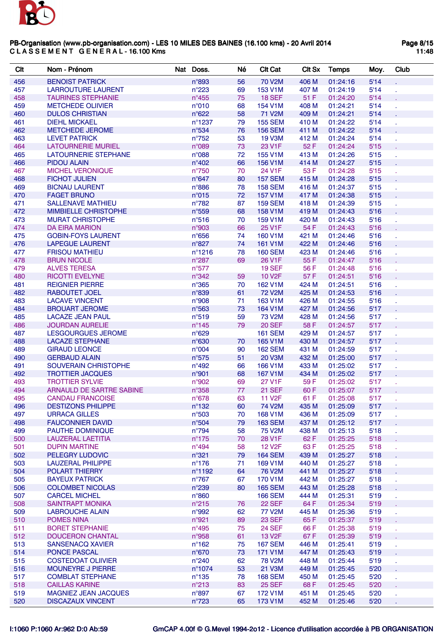

| Clt | Nom - Prénom                | Nat Doss.        | Né | <b>CIt Cat</b>      | <b>CIt Sx</b> | <b>Temps</b> | Moy. | Club |
|-----|-----------------------------|------------------|----|---------------------|---------------|--------------|------|------|
| 456 | <b>BENOIST PATRICK</b>      | $n^{\circ}$ 893  | 56 | <b>70 V2M</b>       | 406 M         | 01:24:16     | 5'14 |      |
| 457 | <b>LARROUTURE LAURENT</b>   | $n^{\circ}223$   | 69 | 153 V1M             | 407 M         | 01:24:19     | 5'14 |      |
| 458 | <b>TAURINES STEPHANIE</b>   | $n^{\circ}$ 455  | 75 | <b>18 SEF</b>       | 51 F          | 01:24:20     | 5'14 |      |
| 459 | <b>METCHEDE OLIIVIER</b>    | n°010            | 68 | 154 V1M             | 408 M         | 01:24:21     | 5'14 |      |
| 460 | <b>DULOS CHRISTIAN</b>      | $n^{\circ}622$   | 58 | 71 V2M              | 409 M         | 01:24:21     | 5'14 |      |
| 461 | <b>DIEHL MICKAEL</b>        | $n^{\circ}$ 1237 | 79 | <b>155 SEM</b>      | 410 M         | 01:24:22     | 5'14 |      |
| 462 | <b>METCHEDE JEROME</b>      | n°534            | 76 | <b>156 SEM</b>      | 411 M         | 01:24:22     | 5'14 |      |
| 463 | <b>LEVET PATRICK</b>        | $n^{\circ}752$   | 53 | <b>19 V3M</b>       | 412 M         | 01:24:24     | 5'14 |      |
| 464 | <b>LATOURNERIE MURIEL</b>   | $n^{\circ}089$   | 73 | 23 V1F              | 52 F          | 01:24:24     | 5'15 |      |
| 465 | LATOURNERIE STEPHANE        | $n^{\circ}088$   | 72 | 155 V1M             | 413 M         | 01:24:26     | 5'15 |      |
| 466 | <b>PIDOU ALAIN</b>          | $n^{\circ}402$   | 66 | 156 V1M             | 414 M         | 01:24:27     | 5'15 |      |
| 467 | <b>MICHEL VERONIQUE</b>     | $n^{\circ}750$   | 70 | 24 V1F              | 53 F          | 01:24:28     | 5'15 |      |
| 468 | <b>FICHOT JULIEN</b>        | $n^{\circ}647$   | 80 | <b>157 SEM</b>      | 415 M         | 01:24:28     | 5'15 |      |
| 469 | <b>BICNAU LAURENT</b>       | $n^{\circ}886$   | 78 | <b>158 SEM</b>      | 416 M         | 01:24:37     | 5'15 |      |
| 470 | <b>FAGET BRUNO</b>          | n°015            | 72 | 157 V1M             | 417 M         | 01:24:38     | 5'15 |      |
|     | <b>SALLENAVE MATHIEU</b>    | $n^{\circ}782$   | 87 | <b>159 SEM</b>      |               | 01:24:39     | 5'15 |      |
| 471 |                             | n°559            |    |                     | 418 M         |              |      |      |
| 472 | MIMBIELLE CHRISTOPHE        |                  | 68 | 158 V1M             | 419 M         | 01:24:43     | 5'16 |      |
| 473 | <b>MURAT CHRISTOPHE</b>     | $n^{\circ}516$   | 70 | 159 V1M             | 420 M         | 01:24:43     | 5'16 |      |
| 474 | <b>DA EIRA MARION</b>       | n°903            | 66 | 25 V1F              | 54 F          | 01:24:43     | 5'16 |      |
| 475 | <b>GOBIN-FOYS LAURENT</b>   | $n^{\circ}$ 656  | 74 | 160 V1M             | 421 M         | 01:24:46     | 5'16 |      |
| 476 | <b>LAPEGUE LAURENT</b>      | $n^{\circ}827$   | 74 | 161 V1M             | 422 M         | 01:24:46     | 5'16 |      |
| 477 | <b>FRISOU MATHIEU</b>       | $n^{\circ}$ 1216 | 78 | <b>160 SEM</b>      | 423 M         | 01:24:46     | 5'16 |      |
| 478 | <b>BRUN NICOLE</b>          | $n^{\circ}287$   | 69 | 26 V1F              | 55 F          | 01:24:47     | 5'16 |      |
| 479 | <b>ALVES TERESA</b>         | $n^{\circ}577$   |    | <b>19 SEF</b>       | 56 F          | 01:24:48     | 5'16 |      |
| 480 | <b>RICOTTI EVELYNE</b>      | n°342            | 59 | 10 V <sub>2</sub> F | 57 F          | 01:24:51     | 5'16 |      |
| 481 | <b>REIGNIER PIERRE</b>      | $n^{\circ}365$   | 70 | 162 V1M             | 424 M         | 01:24:51     | 5'16 |      |
| 482 | <b>RABOUTET JOEL</b>        | n°839            | 61 | <b>72 V2M</b>       | 425 M         | 01:24:53     | 5'16 |      |
| 483 | <b>LACAVE VINCENT</b>       | n°908            | 71 | 163 V1M             | 426 M         | 01:24:55     | 5'16 |      |
| 484 | <b>BROUART JEROME</b>       | $n^{\circ}$ 563  | 73 | 164 V1M             | 427 M         | 01:24:56     | 5'17 |      |
| 485 | <b>LACAZE JEAN PAUL</b>     | n°519            | 59 | 73 V <sub>2</sub> M | 428 M         | 01:24:56     | 5'17 |      |
| 486 | <b>JOURDAN AURELIE</b>      | $n^{\circ}145$   | 79 | <b>20 SEF</b>       | 58 F          | 01:24:57     | 5'17 |      |
| 487 | <b>LESGOURGUES JEROME</b>   | $n^{\circ}629$   |    | <b>161 SEM</b>      | 429 M         | 01:24:57     | 5'17 |      |
| 488 | <b>LACAZE STEPHANE</b>      | $n^{\circ}630$   | 70 | 165 V1M             | 430 M         | 01:24:57     | 5'17 |      |
| 489 | <b>GIRAUD LEONCE</b>        | n°004            | 90 | <b>162 SEM</b>      | 431 M         | 01:24:59     | 5'17 |      |
| 490 | <b>GERBAUD ALAIN</b>        | $n^{\circ}575$   | 51 | <b>20 V3M</b>       | 432 M         | 01:25:00     | 5'17 |      |
| 491 | <b>SOUVERAIN CHRISTOPHE</b> | $n^{\circ}492$   | 66 | 166 V1M             | 433 M         | 01:25:02     | 5'17 |      |
| 492 | <b>TROTTIER JACQUES</b>     | n°901            | 68 | 167 V1M             | 434 M         | 01:25:02     | 5'17 |      |
| 493 | <b>TROTTIER SYLVIE</b>      | n°902            | 69 | 27 V1F              | 59 F          | 01:25:02     | 5'17 |      |
|     | ARNAULD DE SARTRE SABINE    |                  |    |                     |               |              |      |      |
| 494 |                             | n°358            | 77 | <b>21 SEF</b>       | 60 F          | 01:25:07     | 5'17 |      |
| 495 | <b>CANDAU FRANCOISE</b>     | $n^{\circ}678$   | 63 | 11 V <sub>2</sub> F | 61 F          | 01:25:08     | 5'17 |      |
| 496 | <b>DESTIZONS PHILIPPE</b>   | $n^{\circ}$ 132  | 60 | 74 V2M              | 435 M         | 01:25:09     | 5'17 |      |
| 497 | <b>URRACA GILLES</b>        | n°503            | 70 | 168 V1M             | 436 M         | 01:25:09     | 5'17 |      |
| 498 | <b>FAUCONNIER DAVID</b>     | n°504            | 79 | <b>163 SEM</b>      | 437 M         | 01:25:12     | 5'17 |      |
| 499 | PAUTHE DOMINIQUE            | $n^{\circ}794$   | 58 | 75 V2M              | 438 M         | 01:25:13     | 5'18 |      |
| 500 | <b>LAUZERAL LAETITIA</b>    | $n^{\circ}$ 175  | 70 | 28 V1F              | 62 F          | 01:25:25     | 5'18 |      |
| 501 | <b>DUPIN MARTINE</b>        | $n^{\circ}494$   | 58 | <b>12 V2F</b>       | 63 F          | 01:25:25     | 5'18 |      |
| 502 | PELEGRY LUDOVIC             | $n^{\circ}321$   | 79 | <b>164 SEM</b>      | 439 M         | 01:25:27     | 5'18 |      |
| 503 | LAUZERAL PHILIPPE           | $n^{\circ}176$   | 71 | 169 V1M             | 440 M         | 01:25:27     | 5'18 | ä,   |
| 504 | <b>POLART THIERRY</b>       | n°1192           | 64 | 76 V2M              | 441 M         | 01:25:27     | 5'18 |      |
| 505 | <b>BAYEUX PATRICK</b>       | $n^{\circ}767$   | 67 | <b>170 V1M</b>      | 442 M         | 01:25:27     | 5'18 |      |
| 506 | <b>COLOMBET NICOLAS</b>     | n°239            | 80 | <b>165 SEM</b>      | 443 M         | 01:25:28     | 5'18 |      |
| 507 | <b>CARCEL MICHEL</b>        | $n^{\circ}860$   |    | <b>166 SEM</b>      | 444 M         | 01:25:31     | 5'19 |      |
| 508 | <b>SAINTRAPT MONIKA</b>     | $n^{\circ}215$   | 76 | <b>22 SEF</b>       | 64 F          | 01:25:34     | 5'19 |      |
| 509 | <b>LABROUCHE ALAIN</b>      | $n^{\circ}992$   | 62 | <b>77 V2M</b>       | 445 M         | 01:25:36     | 5'19 |      |
| 510 | <b>POMES NINA</b>           | n°921            | 89 | 23 SEF              | 65 F          | 01:25:37     | 5'19 |      |
| 511 | <b>BORET STEPHANIE</b>      | $n^{\circ}$ 495  | 75 | <b>24 SEF</b>       | 66 F          | 01:25:38     | 5'19 |      |
| 512 | <b>DOUCERON CHANTAL</b>     | n°958            | 61 | 13 V <sub>2</sub> F | 67 F          | 01:25:39     | 5'19 |      |
| 513 | <b>SANSENACQ XAVIER</b>     | $n^{\circ}162$   | 75 | <b>167 SEM</b>      | 446 M         | 01:25:41     | 5'19 | ä,   |
| 514 | <b>PONCE PASCAL</b>         | $n^{\circ}670$   | 73 | <b>171 V1M</b>      | 447 M         | 01:25:43     | 5'19 |      |
| 515 | <b>COSTEDOAT OLIIVIER</b>   | $n^{\circ}240$   | 62 | 78 V2M              | 448 M         | 01:25:44     | 5'19 |      |
| 516 | <b>MOUNEYRE J PIERRE</b>    | n°1074           | 53 | 21 V3M              | 449 M         | 01:25:45     | 5'20 |      |
| 517 | <b>COMBLAT STEPHANE</b>     | $n^{\circ}135$   | 78 | <b>168 SEM</b>      | 450 M         | 01:25:45     | 5'20 |      |
| 518 | <b>CAILLAS KARINE</b>       | $n^{\circ}213$   | 83 | <b>25 SEF</b>       | 68 F          | 01:25:45     | 5'20 |      |
|     |                             |                  |    |                     |               |              |      |      |
| 519 | <b>MAGNIEZ JEAN JACQUES</b> | $n^{\circ}897$   | 67 | 172 V1M             | 451 M         | 01:25:45     | 5'20 |      |
| 520 | <b>DISCAZAUX VINCENT</b>    | $n^{\circ}723$   | 65 | 173 V1M             | 452 M         | 01:25:46     | 5'20 |      |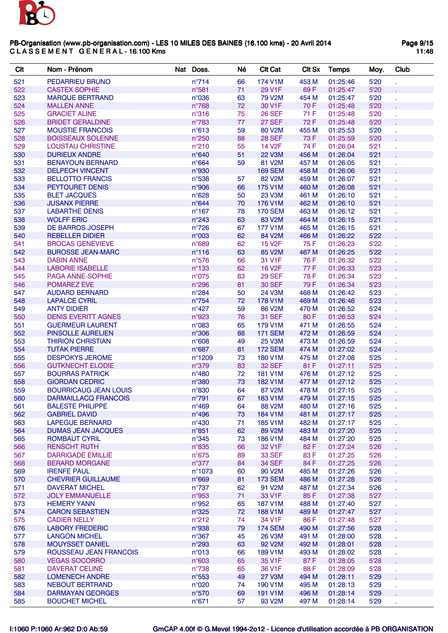

| Clt        | Nom - Prénom                                      | Nat Doss.                        | Né       | <b>CIt Cat</b>           | C <sub>It</sub> S <sub>x</sub> | <b>Temps</b>         | Moy.         | Club |
|------------|---------------------------------------------------|----------------------------------|----------|--------------------------|--------------------------------|----------------------|--------------|------|
| 521        | <b>PEDARRIEU BRUNO</b>                            | $n^{\circ}$ 714                  | 66       | 174 V1M                  | 453 M                          | 01:25:46             | 5'20         |      |
| 522        | <b>CASTEX SOPHIE</b>                              | $n^{\circ}581$                   | 71       | 29 V1F                   | 69 F                           | 01:25:47             | 5'20         |      |
| 523        | <b>MARQUE BERTRAND</b>                            | n°036                            | 63       | 79 V2M                   | 454 M                          | 01:25:47             | 5'20         |      |
| 524        | <b>MALLEN ANNE</b>                                | $n^{\circ}768$                   | 72       | 30 V1F                   | 70 F                           | 01:25:48             | 5'20         |      |
| 525        | <b>GRACIET ALINE</b>                              | $n^{\circ}316$                   | 75       | <b>26 SEF</b>            | 71 F                           | 01:25:48             | 5'20         |      |
| 526        | <b>BRIDET GERALDINE</b>                           | n°783                            | 77       | <b>27 SEF</b>            | 72 F                           | 01:25:48             | 5'20         |      |
| 527        | <b>MOUSTIE FRANCOIS</b>                           | $n^{\circ}613$                   | 59       | 80 V2M                   | 455 M                          | 01:25:53             | 5'20         |      |
| 528        | <b>BOISSEAUX SOLENNE</b>                          | $n^{\circ}250$                   | 88       | <b>28 SEF</b>            | 73 F                           | 01:25:59             | 5'20         |      |
| 529        | <b>LOUSTAU CHRISTINE</b>                          | $n^{\circ}210$                   | 55       | 14 V <sub>2</sub> F      | 74 F                           | 01:26:04             | 5'21         |      |
| 530        | <b>DURIEUX ANDRE</b>                              | $n^{\circ}640$                   | 51       | <b>22 V3M</b>            | 456 M                          | 01:26:04             | 5'21         |      |
| 531        | <b>BENAYOUN BERNARD</b>                           | $n^{\circ}664$                   | 59       | 81 V2M                   | 457 M                          | 01:26:05             | 5'21         |      |
| 532        | <b>DELPECH VINCENT</b>                            | n°930                            |          | <b>169 SEM</b>           | 458 M                          | 01:26:06             | 5'21         |      |
| 533<br>534 | <b>BELLOTTO FRANCIS</b><br><b>PEYTOURET DENIS</b> | $n^{\circ}$ 538<br>n°906         | 57<br>66 | 82 V2M<br>175 V1M        | 459 M<br>460 M                 | 01:26:07<br>01:26:08 | 5'21<br>5'21 |      |
| 535        | <b>BLET JACQUES</b>                               | $n^{\circ}628$                   | 50       | <b>23 V3M</b>            | 461 M                          | 01:26:10             | 5'21         |      |
| 536        | <b>JUSANX PIERRE</b>                              | $n^{\circ}644$                   | 70       | 176 V1M                  | 462 M                          | 01:26:10             | 5'21         |      |
| 537        | <b>LABARTHE DENIS</b>                             | $n^{\circ}167$                   | 78       | <b>170 SEM</b>           | 463 M                          | 01:26:12             | 5'21         |      |
| 538        | <b>WOLFF ERIC</b>                                 | $n^{\circ}$ 243                  | 63       | 83 V2M                   | 464 M                          | 01:26:15             | 5'21         |      |
| 539        | <b>DE BARROS JOSEPH</b>                           | $n^{\circ}$ 726                  | 67       | <b>177 V1M</b>           | 465 M                          | 01:26:15             | 5'21         |      |
| 540        | <b>REBELLER DIDIER</b>                            | n°003                            | 62       | 84 V2M                   | 466 M                          | 01:26:22             | 5'22         |      |
| 541        | <b>BROCAS GENEVIEVE</b>                           | $n^{\circ}689$                   | 62       | 15 V <sub>2</sub> F      | 75 F                           | 01:26:23             | 5'22         |      |
| 542        | <b>BUROSSE JEAN-MARC</b>                          | $n^{\circ}116$                   | 63       | 85 V2M                   | 467 M                          | 01:26:25             | 5'22         |      |
| 543        | <b>DABIN ANNE</b>                                 | $n^{\circ}576$                   | 66       | 31 V1F                   | 76 F                           | 01:26:32             | 5'22         |      |
| 544        | <b>LABORIE ISABELLE</b>                           | $n^{\circ}$ 133                  | 62       | <b>16 V2F</b>            | 77 F                           | 01:26:33             | 5'23         |      |
| 545        | PAGA ANNE-SOPHIE                                  | $n^{\circ}075$                   | 83       | <b>29 SEF</b>            | 78 F                           | 01:26:34             | 5'23         |      |
| 546        | POMAREZ EVE                                       | $n^{\circ}296$                   | 81       | <b>30 SEF</b>            | 79 F                           | 01:26:34             | 5'23         |      |
| 547        | <b>AUDARD BERNARD</b>                             | $n^{\circ}284$                   | 50       | 24 V3M                   | 468 M                          | 01:26:42             | 5'23         |      |
| 548        | <b>LAPALCE CYRIL</b>                              | $n^{\circ}754$                   | 72       | 178 V1M                  | 469 M                          | 01:26:46             | 5'23         |      |
| 549        | <b>ANTY DIDIER</b>                                | $n^{\circ}427$                   | 59       | 86 V2M                   | 470 M                          | 01:26:52             | 5'24         |      |
| 550        | <b>DENIS EVERITT AGNES</b>                        | n°923                            | 76       | <b>31 SEF</b>            | 80 F                           | 01:26:53             | 5'24         |      |
| 551        | <b>GUERMEUR LAURENT</b>                           | $n^{\circ}083$                   | 65       | 179 V1M                  | 471 M                          | 01:26:55             | 5'24         |      |
| 552        | <b>PINSOLLE AURELIEN</b>                          | $n^{\circ}306$                   | 88       | <b>171 SEM</b>           | 472 M                          | 01:26:59             | 5'24         |      |
| 553        | <b>THIRION CHRISTIAN</b>                          | $n^{\circ}608$                   | 49       | <b>25 V3M</b>            | 473 M                          | 01:26:59             | 5'24         |      |
| 554        | <b>TUTAK PIERRE</b>                               | $n^{\circ}687$                   | 81       | <b>172 SEM</b>           | 474 M                          | 01:27:02             | 5'24         |      |
| 555<br>556 | <b>DESPOKYS JEROME</b><br><b>GUTKNECHT ELODIE</b> | n°1209<br>n°379                  | 73<br>83 | 180 V1M<br><b>32 SEF</b> | 475 M<br>81 F                  | 01:27:08<br>01:27:11 | 5'25<br>5'25 |      |
| 557        | <b>BOURRAS PATRICK</b>                            | $n^{\circ}480$                   | 72       | <b>181 V1M</b>           | 476 M                          | 01:27:12             | 5'25         |      |
| 558        | <b>GIORDAN CEDRIC</b>                             | n°380                            | 73       | 182 V1M                  | 477 M                          | 01:27:12             | 5'25         | ä,   |
| 559        | <b>BOURRICAUG JEAN LOUIS</b>                      | $n^{\circ}830$                   | 64       | 87 V2M                   | 478 M                          | 01:27:15             | 5'25         |      |
| 560        | <b>DARMAILLACQ FRANCOIS</b>                       | $n^{\circ}791$                   | 67       | 183 V1M                  | 479 M                          | 01:27:15             | 5'25         |      |
| 561        | <b>BALESTE PHILIPPE</b>                           | $n^{\circ}469$                   | 64       | 88 V2M                   | 480 M                          | 01:27:16             | 5'25         |      |
| 562        | <b>GABRIEL DAVID</b>                              | $n^{\circ}496$                   | 73       | 184 V1M                  | 481 M                          | 01:27:17             | 5'25         |      |
| 563        | <b>LAPEGUE BERNARD</b>                            | $n^{\circ}430$                   | 71       | 185 V1M                  | 482 M                          | 01:27:17             | 5'25         |      |
| 564        | <b>DUMAS JEAN JACQUES</b>                         | $n^{\circ}851$                   | 62       | 89 V2M                   | 483 M                          | 01:27:20             | 5'25         |      |
| 565        | <b>ROMBAUT CYRIL</b>                              | $n^{\circ}345$                   | 73       | 186 V1M                  | 484 M                          | 01:27:20             | 5'25         |      |
| 566        | <b>RENSCHT RUTH</b>                               | $n^{\circ}$ 835                  | 66       | 32 V1F                   | 82 F                           | 01:27:24             | 5'26         |      |
| 567        | <b>DARRIGADE EMILLIE</b>                          | $n^{\circ}675$                   | 89       | <b>33 SEF</b>            | 83 F                           | 01:27:25             | 5'26         | ä,   |
| 568        | <b>BERARD MORGANE</b>                             | $n^{\circ}377$                   | 84       | <b>34 SEF</b>            | 84 F                           | 01:27:25             | 5'26         |      |
| 569        | <b>IRENFE PAUL</b>                                | n°1073                           | 60       | 90 V2M                   | 485 M                          | 01:27:26             | 5'26         |      |
| 570        | <b>CHEVRIER GUILLAUME</b>                         | $n^{\circ}669$                   | 81       | <b>173 SEM</b>           | 486 M                          | 01:27:28             | 5'26         |      |
| 571        | <b>DAVERAT MICHEL</b>                             | $n^{\circ}737$                   | 62       | 91 V2M                   | 487 M                          | 01:27:34             | 5'26         |      |
| 572        | <b>JOLY EMMANUELLE</b>                            | n°953                            | 71       | 33 V1F                   | 85 F                           | 01:27:38             | 5'27         |      |
| 573        | <b>HEMERY YANN</b>                                | n°952                            | 65       | <b>187 V1M</b>           | 488 M                          | 01:27:40             | 5'27         |      |
| 574        | <b>CARON SEBASTIEN</b>                            | $n^{\circ}325$                   | 72       | 188 V1M                  | 489 M                          | 01:27:47             | 5'27         |      |
| 575        | <b>CADIER NELLY</b>                               | $n^{\circ}212$                   | 74       | 34 V1F                   | 86 F                           | 01:27:48             | 5'27         |      |
| 576        | <b>LABORY FREDERIC</b>                            | n°938                            | 79       | <b>174 SEM</b>           | 490 M                          | 01:27:56             | 5'28         |      |
| 577<br>578 | <b>LANGON MICHEL</b><br><b>MOUYSSET DANIEL</b>    | $n^{\circ}367$<br>$n^{\circ}293$ | 45<br>63 | 26 V3M<br>92 V2M         | 491 M<br>492 M                 | 01:28:00<br>01:28:01 | 5'28<br>5'28 | ¥.   |
| 579        | ROUSSEAU JEAN FRANCOIS                            | n°013                            | 66       | 189 V1M                  | 493 M                          | 01:28:02             | 5'28         |      |
| 580        | <b>VEGAS SOCORRO</b>                              | $n^{\circ}603$                   | 65       | 35 V1F                   | 87 F                           | 01:28:05             | 5'28         |      |
| 581        | <b>DAVERAT CELINE</b>                             | $n^{\circ}738$                   | 65       | 36 V1F                   | 88 F                           | 01:28:09             | 5'28         |      |
| 582        | <b>LOMENECH ANDRE</b>                             | $n^{\circ}$ 553                  | 49       | <b>27 V3M</b>            | 494 M                          | 01:28:11             | 5'29         |      |
| 583        | NEBOUT BERTRAND                                   | n°020                            | 74       | 190 V1M                  | 495 M                          | 01:28:13             | 5'29         |      |
| 584        | <b>DARMAYAN GEORGES</b>                           | $n^{\circ}570$                   | 69       | <b>191 V1M</b>           | 496 M                          | 01:28:14             | 5'29         |      |
| 585        | <b>BOUCHET MICHEL</b>                             | $n^{\circ}671$                   | 57       | 93 V2M                   | 497 M                          | 01:28:14             | 5'29         |      |
|            |                                                   |                                  |          |                          |                                |                      |              |      |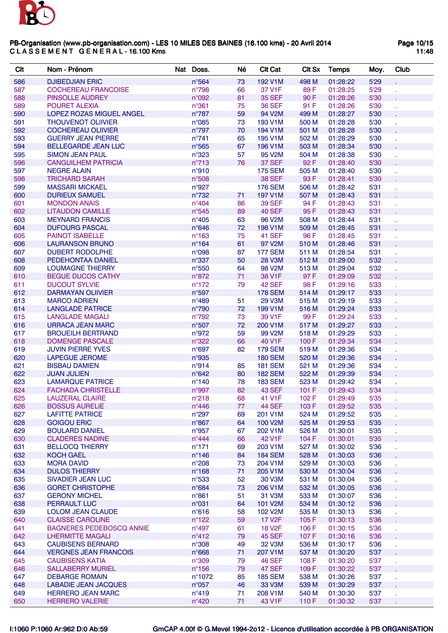

| Clt        | Nom - Prénom                                               | Nat Doss.                        | Né       | <b>CIt Cat</b>                   | <b>Clt Sx</b>  | <b>Temps</b>         | Moy.         | Club |
|------------|------------------------------------------------------------|----------------------------------|----------|----------------------------------|----------------|----------------------|--------------|------|
| 586        | <b>DJIBEDJIAN ERIC</b>                                     | $n^{\circ}564$                   | 73       | 192 V1M                          | 498 M          | 01:28:22             | 5'29         |      |
| 587        | <b>COCHEREAU FRANCOISE</b>                                 | $n^{\circ}798$                   | 66       | 37 V1F                           | 89 F           | 01:28:25             | 5'29         |      |
| 588        | <b>PINSOLLE AUDREY</b>                                     | n°092                            | 81       | <b>35 SEF</b>                    | 90 F           | 01:28:26             | 5'30         |      |
| 589        | <b>POURET ALEXIA</b>                                       | $n^{\circ}361$                   | 75       | <b>36 SEF</b>                    | 91 F           | 01:28:26             | 5'30         |      |
| 590        | LOPEZ ROZAS MIGUEL ANGEL                                   | $n^{\circ}787$                   | 59       | 94 V2M                           | 499 M          | 01:28:27             | 5'30         |      |
| 591        | <b>THOUVENOT OLIIVIER</b>                                  | $n^{\circ}085$                   | 73       | 193 V1M                          | 500 M          | 01:28:28             | 5'30         |      |
| 592        | <b>COCHEREAU OLIIVIER</b>                                  | $n^{\circ}797$                   | 70       | 194 V1M                          | 501 M          | 01:28:28             | 5'30         |      |
| 593        | <b>GUERRY JEAN PIERRE</b>                                  | $n^{\circ}741$                   | 65       | 195 V1M                          | 502 M          | 01:28:29             | 5'30         |      |
| 594        | <b>BELLEGARDE JEAN LUC</b>                                 | $n^{\circ}$ 565                  | 67       | 196 V1M                          | 503 M          | 01:28:34             | 5'30         |      |
| 595        | <b>SIMON JEAN PAUL</b>                                     | $n^{\circ}323$                   | 57       | 95 V2M                           | 504 M          | 01:28:38             | 5'30         |      |
| 596        | <b>CANGUILHEM PATRICIA</b>                                 | $n^{\circ}713$                   | 76       | <b>37 SEF</b>                    | 92 F           | 01:28:40             | 5'30         |      |
| 597        | <b>NEGRE ALAIN</b>                                         | n°910                            |          | <b>175 SEM</b>                   | 505 M          | 01:28:40             | 5'30         |      |
| 598<br>599 | <b>TRICHARD SARAH</b><br><b>MASSARI MICKAEL</b>            | n°508<br>$n^{\circ}927$          |          | <b>38 SEF</b><br><b>176 SEM</b>  | 93 F<br>506 M  | 01:28:41<br>01:28:42 | 5'30<br>5'31 |      |
| 600        | <b>DURIEUX SAMUEL</b>                                      | $n^{\circ}732$                   | 71       | <b>197 V1M</b>                   | 507 M          | 01:28:43             | 5'31         |      |
| 601        | <b>MONDON ANAIS</b>                                        | $n^{\circ}404$                   | 86       | <b>39 SEF</b>                    | 94 F           | 01:28:43             | 5'31         |      |
| 602        | <b>LITAUDON CAMILLE</b>                                    | $n^{\circ}$ 545                  | 89       | <b>40 SEF</b>                    | 95 F           | 01:28:43             | 5'31         |      |
| 603        | <b>MEYNARD FRANCIS</b>                                     | $n^{\circ}405$                   | 63       | 96 V2M                           | 508 M          | 01:28:44             | 5'31         |      |
| 604        | <b>DUFOURG PASCAL</b>                                      | $n^{\circ}646$                   | 72       | 198 V1M                          | 509 M          | 01:28:45             | 5'31         |      |
| 605        | <b>PAINOT ISABELLE</b>                                     | $n^{\circ}163$                   | 75       | <b>41 SEF</b>                    | 96 F           | 01:28:45             | 5'31         |      |
| 606        | <b>LAURANSON BRUNO</b>                                     | $n^{\circ}164$                   | 61       | 97 V2M                           | 510 M          | 01:28:46             | 5'31         |      |
| 607        | <b>DUBERT RODOLPHE</b>                                     | $n^{\circ}098$                   | 87       | <b>177 SEM</b>                   | 511 M          | 01:28:54             | 5'31         |      |
| 608        | PEDEHONTAA DANIEL                                          | $n^{\circ}337$                   | 50       | <b>28 V3M</b>                    | 512 M          | 01:29:00             | 5'32         |      |
| 609        | <b>LOUMAGNE THIERRY</b>                                    | $n^{\circ}550$                   | 64       | 98 V <sub>2</sub> M              | 513 M          | 01:29:04             | 5'32         |      |
| 610        | <b>BEGUE DUCOS CATHY</b>                                   | $n^{\circ}872$                   | 71       | 38 V1F                           | 97 F           | 01:29:09             | 5'32         |      |
| 611        | <b>DUCOUT SYLVIE</b>                                       | $n^{\circ}172$                   | 79       | <b>42 SEF</b>                    | 98 F           | 01:29:16             | 5'33         |      |
| 612        | <b>DARMAYAN OLIIVIER</b>                                   | $n^{\circ}597$                   |          | <b>178 SEM</b>                   | 514 M          | 01:29:17             | 5'33         |      |
| 613        | <b>MARCO ADRIEN</b>                                        | $n^{\circ}489$                   | 51       | <b>29 V3M</b>                    | 515 M          | 01:29:19             | 5'33         |      |
| 614        | <b>LANGLADE PATRICE</b>                                    | $n^{\circ}790$                   | 72       | 199 V1M                          | 516 M          | 01:29:24             | 5'33         |      |
| 615        | <b>LANGLADE MAGALI</b>                                     | $n^{\circ}792$                   | 73       | 39 V1F                           | 99 F           | 01:29:24             | 5'33         |      |
| 616        | <b>URRACA JEAN MARC</b>                                    | $n^{\circ}507$                   | 72       | 200 V1M                          | 517 M          | 01:29:27             | 5'33         |      |
| 617        | <b>BROUEILH BERTRAND</b>                                   | $n^{\circ}972$                   | 59       | 99 V <sub>2</sub> M              | 518 M          | 01:29:29             | 5'33         |      |
| 618        | <b>DOMENGE PASCALE</b>                                     | $n^{\circ}322$                   | 66       | 40 V1F                           | 100 F          | 01:29:34             | 5'34         |      |
| 619        | <b>JUVIN PIERRE YVES</b>                                   | $n^{\circ}697$                   | 82       | <b>179 SEM</b>                   | 519 M          | 01:29:36             | 5'34         |      |
| 620<br>621 | <b>LAPEGUE JEROME</b><br><b>BISBAU DAMIEN</b>              | n°935<br>n°914                   | 85       | <b>180 SEM</b><br><b>181 SEM</b> | 520 M          | 01:29:36<br>01:29:36 | 5'34<br>5'34 |      |
| 622        | <b>JUAN JULIEN</b>                                         | $n^{\circ}642$                   | 80       | <b>182 SEM</b>                   | 521 M<br>522 M | 01:29:39             | 5'34         |      |
| 623        | <b>LAMARQUE PATRICE</b>                                    | $n^{\circ}$ 140                  | 78       | <b>183 SEM</b>                   | 523 M          | 01:29:42             | 5'34         |      |
| 624        | <b>FACHADA CHRISTELLE</b>                                  | n°997                            | 82       | <b>43 SEF</b>                    | 101 F          | 01:29:43             | 5'34         |      |
| 625        | <b>LAUZERAL CLAIRE</b>                                     | $n^{\circ}218$                   | 68       | 41 V1F                           | 102 F          | 01:29:49             | 5'35         |      |
| 626        | <b>BOSSUS AURELIE</b>                                      | $n^{\circ}$ 446                  | 77       | <b>44 SEF</b>                    | 103 F          | 01:29:52             | 5'35         |      |
| 627        | <b>LAFITTE PATRICE</b>                                     | $n^{\circ}297$                   | 69       | 201 V1M                          | 524 M          | 01:29:52             | 5'35         |      |
| 628        | <b>GOIGOU ERIC</b>                                         | $n^{\circ}867$                   | 64       | 100 V2M                          | 525 M          | 01:29:53             | 5'35         |      |
| 629        | <b>BOULARD DANIEL</b>                                      | $n^{\circ}957$                   | 67       | 202 V1M                          | 526 M          | 01:30:01             | 5'35         |      |
| 630        | <b>CLADERES NADINE</b>                                     | $n^{\circ}444$                   | 66       | 42 V1F                           | 104 F          | 01:30:01             | 5'35         |      |
| 631        | <b>BELLOCQ THIERRY</b>                                     | $n^{\circ}171$                   | 69       | 203 V1M                          | 527 M          | 01:30:02             | 5'36         |      |
| 632        | <b>KOCH GAEL</b>                                           | $n^{\circ}$ 146                  | 84       | <b>184 SEM</b>                   | 528 M          | 01:30:03             | 5'36         |      |
| 633        | <b>MORA DAVID</b>                                          | $n^{\circ}208$                   | 73       | 204 V1M                          | 529 M          | 01:30:03             | 5'36         |      |
| 634        | <b>DULOS THIERRY</b>                                       | $n^{\circ}168$                   | 71       | 205 V1M                          | 530 M          | 01:30:04             | 5'36         |      |
| 635        | <b>SIVADIER JEAN LUC</b>                                   | $n^{\circ}$ 533                  | 52       | 30 V3M                           | 531 M          | 01:30:04             | 5'36         |      |
| 636        | <b>GORET CHRISTOPHE</b>                                    | $n^{\circ}684$                   | 73       | 206 V1M                          | 532 M          | 01:30:05             | 5'36         |      |
| 637        | <b>GERONY MICHEL</b>                                       | $n^{\circ}861$                   | 51       | 31 V3M                           | 533 M          | 01:30:07             | 5'36         |      |
| 638        | PERRAULT LUC                                               | n°031                            | 64       | 101 V2M                          | 534 M          | 01:30:12             | 5'36         |      |
| 639        | <b>LOLOM JEAN CLAUDE</b>                                   | $n^{\circ}616$                   | 58       | 102 V2M                          | 535 M          | 01:30:13             | 5'36         |      |
| 640        | <b>CLAISSE CAROLINE</b>                                    | $n^{\circ}122$                   | 59       | 17 V <sub>2</sub> F              | 105 F          | 01:30:13             | 5'36         |      |
| 641<br>642 | <b>BAGNERES PEDEBOSCQ ANNIE</b><br><b>LHERMITTE MAGALI</b> | $n^{\circ}497$<br>$n^{\circ}412$ | 61<br>79 | <b>18 V2F</b><br><b>45 SEF</b>   | 106 F<br>107 F | 01:30:15<br>01:30:16 | 5'36<br>5'36 |      |
| 643        | <b>CAUBISENS BERNARD</b>                                   | $n^{\circ}308$                   | 49       | 32 V3M                           | 536 M          | 01:30:17             | 5'36         |      |
| 644        | <b>VERGNES JEAN FRANCOIS</b>                               | $n^{\circ}668$                   | 71       | 207 V1M                          | 537 M          | 01:30:20             | 5'37         |      |
| 645        | <b>CAUBISENS KATIA</b>                                     | $n^{\circ}309$                   | 79       | <b>46 SEF</b>                    | 108 F          | 01:30:20             | 5'37         |      |
| 646        | <b>SALLABERRY MURIEL</b>                                   | $n^{\circ}156$                   | 79       | <b>47 SEF</b>                    | 109 F          | 01:30:22             | 5'37         |      |
| 647        | <b>DEBARGE ROMAIN</b>                                      | $n^{\circ}1072$                  | 85       | <b>185 SEM</b>                   | 538 M          | 01:30:26             | 5'37         |      |
| 648        | <b>LABADIE JEAN JACQUES</b>                                | $n^{\circ}057$                   | 46       | 33 V3M                           | 539 M          | 01:30:29             | 5'37         |      |
| 649        | <b>HERRERO JEAN MARC</b>                                   | $n^{\circ}419$                   | 71       | 208 V1M                          | 540 M          | 01:30:30             | 5'37         |      |
| 650        | <b>HERRERO VALERIE</b>                                     | $n^{\circ}420$                   | 71       | 43 V1F                           | 110 F          | 01:30:32             | 5'37         |      |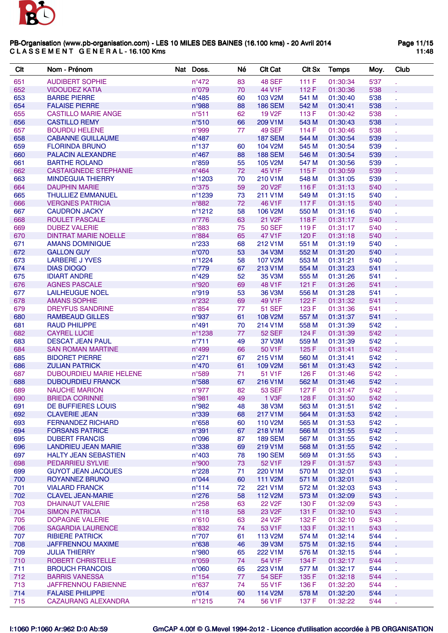

| Clt | Nom - Prénom                   | Nat Doss.        | Né | <b>CIt Cat</b>      | <b>CIt Sx</b> | <b>Temps</b> | Moy. | Club |
|-----|--------------------------------|------------------|----|---------------------|---------------|--------------|------|------|
| 651 | <b>AUDIBERT SOPHIE</b>         | $n^{\circ}472$   | 83 | <b>48 SEF</b>       | 111 F         | 01:30:34     | 5'37 |      |
| 652 | <b>VIDOUDEZ KATIA</b>          | n°079            | 70 | 44 V1F              | 112 F         | 01:30:36     | 5'38 |      |
| 653 | <b>BARBE PIERRE</b>            | $n^{\circ}485$   | 60 | 103 V2M             | 541 M         | 01:30:40     | 5'38 |      |
| 654 | <b>FALAISE PIERRE</b>          | n°988            | 88 | <b>186 SEM</b>      | 542 M         | 01:30:41     | 5'38 |      |
| 655 | <b>CASTILLO MARIE ANGE</b>     | $n^{\circ}511$   | 62 | 19 V <sub>2</sub> F | 113 F         | 01:30:42     | 5'38 |      |
| 656 | <b>CASTILLO REMY</b>           | $n^{\circ}510$   | 66 | 209 V1M             | 543 M         | 01:30:43     | 5'38 |      |
| 657 | <b>BOURDU HELENE</b>           | n°999            | 77 | <b>49 SEF</b>       | 114 F         | 01:30:46     | 5'38 |      |
| 658 | <b>CABANNE GUILLAUME</b>       | $n^{\circ}487$   |    | <b>187 SEM</b>      | 544 M         | 01:30:54     | 5'39 |      |
| 659 | <b>FLORINDA BRUNO</b>          | $n^{\circ}$ 137  | 60 | 104 V2M             | 545 M         | 01:30:54     | 5'39 |      |
| 660 | <b>PALACIN ALEXANDRE</b>       | $n^{\circ}467$   | 88 | <b>188 SEM</b>      | 546 M         | 01:30:54     | 5'39 |      |
| 661 | <b>BARTHE ROLAND</b>           | $n^{\circ}859$   | 55 | 105 V2M             | 547 M         | 01:30:56     | 5'39 |      |
| 662 | <b>CASTAIGNEDE STEPHANIE</b>   | $n^{\circ}464$   | 72 | 45 V1F              | 115 F         | 01:30:59     | 5'39 |      |
| 663 | <b>MINDEGUIA THIERRY</b>       | $n^{\circ}$ 1203 | 70 | 210 V1M             | 548 M         | 01:31:05     | 5'39 |      |
| 664 | <b>DAUPHIN MARIE</b>           | $n^{\circ}375$   | 59 | 20 V <sub>2</sub> F | 116 F         | 01:31:13     | 5'40 |      |
| 665 | <b>THULLIEZ EMMANUEL</b>       | n°1239           | 73 | 211 V1M             | 549 M         | 01:31:15     | 5'40 |      |
| 666 | <b>VERGNES PATRICIA</b>        | $n^{\circ}882$   | 72 | 46 V1F              | 117 F         | 01:31:15     | 5'40 |      |
| 667 | <b>CAUDRON JACKY</b>           | $n^{\circ}$ 1212 | 58 | 106 V2M             | 550 M         | 01:31:16     | 5'40 |      |
| 668 | <b>ROULET PASCALE</b>          | $n^{\circ}776$   | 63 | 21 V <sub>2</sub> F | 118 F         | 01:31:17     | 5'40 |      |
| 669 | <b>DUBEZ VALERIE</b>           | $n^{\circ}883$   | 75 | <b>50 SEF</b>       | 119 F         | 01:31:17     | 5'40 |      |
| 670 | <b>DINTRAT MARIE NOELLE</b>    | $n^{\circ}884$   | 65 | 47 V1F              | 120 F         | 01:31:18     | 5'40 |      |
| 671 | <b>AMANS DOMINIQUE</b>         | $n^{\circ}233$   | 68 | 212 V1M             | 551 M         | 01:31:19     | 5'40 |      |
| 672 | <b>GALLON GUY</b>              | n°070            | 53 | 34 V3M              | 552 M         | 01:31:20     | 5'40 |      |
| 673 | <b>LARBERE J YVES</b>          | $n^{\circ}$ 1224 | 58 | 107 V2M             | 553 M         | 01:31:21     | 5'40 |      |
|     |                                |                  |    | 213 V1M             |               | 01:31:23     |      |      |
| 674 | <b>DIAS DIOGO</b>              | $n^{\circ}779$   | 67 |                     | 554 M         |              | 5'41 |      |
| 675 | <b>IDIART ANDRE</b>            | $n^{\circ}429$   | 52 | 35 V3M              | 555 M         | 01:31:26     | 5'41 |      |
| 676 | <b>AGNES PASCALE</b>           | n°920            | 69 | 48 V1F              | 121 F         | 01:31:26     | 5'41 |      |
| 677 | LAILHEUGUE NOEL                | n°919            | 53 | 36 V3M              | 556 M         | 01:31:28     | 5'41 |      |
| 678 | <b>AMANS SOPHIE</b>            | n°232            | 69 | 49 V1F              | 122 F         | 01:31:32     | 5'41 |      |
| 679 | <b>DREYFUS SANDRINE</b>        | $n^{\circ}854$   | 77 | <b>51 SEF</b>       | 123 F         | 01:31:36     | 5'41 |      |
| 680 | <b>RAMBEAUD GILLES</b>         | $n^{\circ}937$   | 61 | 108 V2M             | 557 M         | 01:31:37     | 5'41 |      |
| 681 | <b>RAUD PHILIPPE</b>           | $n^{\circ}491$   | 70 | 214 V1M             | 558 M         | 01:31:39     | 5'42 |      |
| 682 | <b>CAYREL LUCIE</b>            | n°1238           | 77 | <b>52 SEF</b>       | 124 F         | 01:31:39     | 5'42 |      |
| 683 | <b>DESCAT JEAN PAUL</b>        | $n^{\circ}711$   | 49 | 37 V3M              | 559 M         | 01:31:39     | 5'42 |      |
| 684 | <b>SAN ROMAN MARTINE</b>       | $n^{\circ}499$   | 66 | 50 V1F              | 125 F         | 01:31:41     | 5'42 |      |
| 685 | <b>BIDORET PIERRE</b>          | $n^{\circ}271$   | 67 | 215 V1M             | 560 M         | 01:31:41     | 5'42 |      |
| 686 | <b>ZULIAN PATRICK</b>          | $n^{\circ}470$   | 61 | 109 V2M             | 561 M         | 01:31:43     | 5'42 |      |
| 687 | <b>DUBOURDIEU MARIE HELENE</b> | $n^{\circ}589$   | 71 | 51 V1F              | 126 F         | 01:31:46     | 5'42 |      |
| 688 | <b>DUBOURDIEU FRANCK</b>       | $n^{\circ}$ 588  | 67 | 216 V1M             | 562 M         | 01:31:46     | 5'42 |      |
| 689 | <b>NAUCHE MARION</b>           | $n^{\circ}977$   | 82 | <b>53 SEF</b>       | 127 F         | 01:31:47     | 5'42 |      |
| 690 | <b>BRIEDA CORINNE</b>          | n°981            | 49 | 1 V3F               | 128 F         | 01:31:50     | 5'42 |      |
| 691 | DE BUFFIERES LOUIS             | $n^{\circ}982$   | 48 | 38 V3M              | 563 M         | 01:31:51     | 5'42 |      |
| 692 | <b>CLAVERIE JEAN</b>           | $n^{\circ}339$   | 68 | 217 V1M             | 564 M         | 01:31:53     | 5'42 |      |
| 693 | <b>FERNANDEZ RICHARD</b>       | $n^{\circ}658$   | 60 | 110 V2M             | 565 M         | 01:31:53     | 5'42 |      |
| 694 | <b>FORSANS PATRICE</b>         | n°391            | 67 | 218 V1M             | 566 M         | 01:31:55     | 5'42 |      |
| 695 | <b>DUBERT FRANCIS</b>          | n°096            | 87 | <b>189 SEM</b>      | 567 M         | 01:31:55     | 5'42 |      |
| 696 | <b>LANDRIEU JEAN MARIE</b>     | $n^{\circ}338$   | 69 | 219 V1M             | 568 M         | 01:31:55     | 5'42 |      |
| 697 | <b>HALTY JEAN SEBASTIEN</b>    | $n^{\circ}403$   | 78 | <b>190 SEM</b>      | 569 M         | 01:31:55     | 5'43 |      |
| 698 | PEDARRIEU SYLVIE               | n°900            | 73 | 52 V1F              | 129 F         | 01:31:57     | 5'43 |      |
| 699 | <b>GUYOT JEAN JACQUES</b>      | $n^{\circ}228$   | 71 | 220 V1M             | 570 M         | 01:32:01     | 5'43 |      |
| 700 | ROYANNEZ BRUNO                 | $n^{\circ}044$   | 60 | <b>111 V2M</b>      | 571 M         | 01:32:01     | 5'43 |      |
| 701 | <b>VIALARD FRANCK</b>          | $n^{\circ}$ 114  | 72 | 221 V1M             | 572 M         | 01:32:03     | 5'43 |      |
| 702 | <b>CLAVEL JEAN-MARIE</b>       | $n^{\circ}276$   | 58 | 112 V2M             | 573 M         | 01:32:09     | 5'43 |      |
| 703 | <b>DHAINAUT VALERIE</b>        | $n^{\circ}258$   | 63 | 22 V <sub>2</sub> F | 130 F         | 01:32:09     | 5'43 |      |
| 704 | <b>SIMON PATRICIA</b>          | $n^{\circ}118$   | 58 | 23 V <sub>2</sub> F | 131 F         | 01:32:10     | 5'43 |      |
| 705 | <b>DOPAGNE VALERIE</b>         | $n^{\circ}610$   | 63 | 24 V <sub>2</sub> F | 132 F         | 01:32:10     | 5'43 |      |
| 706 | <b>SAGARDIA LAURENCE</b>       | $n^{\circ}$ 832  | 74 | 53 V1F              | 133 F         | 01:32:11     | 5'43 |      |
| 707 | <b>RIBIERE PATRICK</b>         | $n^{\circ}707$   | 61 | 113 V2M             | 574 M         | 01:32:14     | 5'44 |      |
| 708 | JAFFRENNOU MAXIME              | $n^{\circ}638$   | 46 | 39 V3M              | 575 M         | 01:32:15     | 5'44 |      |
| 709 | <b>JULIA THIERRY</b>           | n°980            | 65 | 222 V1M             | 576 M         | 01:32:15     | 5'44 |      |
| 710 | ROBERT CHRISTELLE              | $n^{\circ}059$   | 74 | 54 V1F              | 134 F         | 01:32:17     | 5'44 |      |
| 711 | <b>BROUCH FRANCOIS</b>         | $n^{\circ}060$   | 65 | 223 V1M             | 577 M         | 01:32:17     | 5'44 |      |
| 712 | <b>BARRIS VANESSA</b>          | $n^{\circ}154$   | 77 | <b>54 SEF</b>       | 135 F         | 01:32:18     | 5'44 |      |
| 713 | <b>JAFFRENNOU FABIENNE</b>     | $n^{\circ}637$   | 74 | 55 V1F              | 136 F         | 01:32:20     | 5'44 |      |
| 714 | <b>FALAISE PHILIPPE</b>        | n°014            | 60 | 114 V2M             | 578 M         | 01:32:20     | 5'44 |      |
| 715 | <b>CAZAURANG ALEXANDRA</b>     | $n^{\circ}$ 1215 | 74 | 56 V1F              | 137 F         | 01:32:22     | 5'44 |      |
|     |                                |                  |    |                     |               |              |      |      |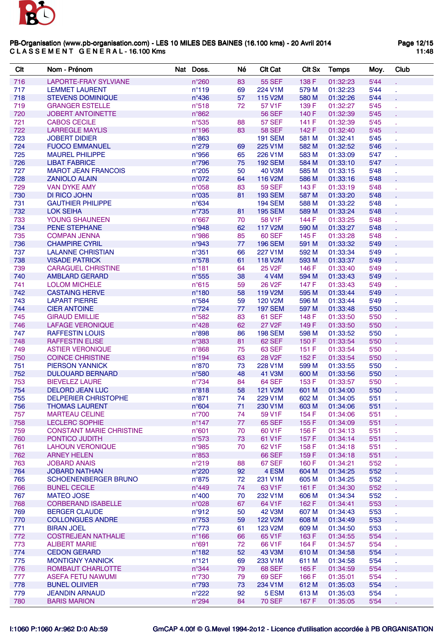

| Clt | Nom - Prénom                    | Nat Doss.       | Né | <b>CIt Cat</b>       | <b>CIt Sx</b> | <b>Temps</b> | Moy.             | Club |
|-----|---------------------------------|-----------------|----|----------------------|---------------|--------------|------------------|------|
| 716 | <b>LAPORTE-FRAY SYLVIANE</b>    | n°260           | 83 | <b>55 SEF</b>        | 138 F         | 01:32:23     | 5'44             |      |
| 717 | <b>LEMMET LAURENT</b>           | $n^{\circ}119$  | 69 | 224 V1M              | 579 M         | 01:32:23     | 5'44             |      |
| 718 | <b>STEVENS DOMINIQUE</b>        | $n^{\circ}$ 436 | 57 | 115 V2M              | 580 M         | 01:32:26     | 5'44             |      |
| 719 | <b>GRANGER ESTELLE</b>          | $n^{\circ}518$  | 72 | 57 V1F               | 139 F         | 01:32:27     | 5'45             |      |
| 720 | <b>JOBERT ANTOINETTE</b>        | $n^{\circ}862$  |    | <b>56 SEF</b>        | 140 F         | 01:32:39     | 5'45             |      |
| 721 | <b>CABOS CECILE</b>             | $n^{\circ}$ 535 | 88 | <b>57 SEF</b>        | 141 F         | 01:32:39     | 5'45             |      |
| 722 | <b>LARREGLE MAYLIS</b>          | $n^{\circ}$ 196 | 83 | <b>58 SEF</b>        | 142 F         | 01:32:40     | 5'45             |      |
| 723 | <b>JOBERT DIDIER</b>            | $n^{\circ}863$  |    | <b>191 SEM</b>       | 581 M         | 01:32:41     | 5'45             |      |
| 724 | <b>FUOCO EMMANUEL</b>           | $n^{\circ}$ 279 | 69 | 225 V1M              | 582 M         | 01:32:52     | 5'46             |      |
| 725 | <b>MAUREL PHILIPPE</b>          | $n^{\circ}956$  | 65 | 226 V1M              | 583 M         | 01:33:09     | 5'47             |      |
| 726 | <b>LIBAT FABRICE</b>            | $n^{\circ}796$  | 75 | <b>192 SEM</b>       | 584 M         | 01:33:10     | 5'47             |      |
| 727 | <b>MAROT JEAN FRANCOIS</b>      | $n^{\circ}205$  | 50 | <b>40 V3M</b>        | 585 M         | 01:33:15     | 5'48             |      |
| 728 | <b>ZANIOLO ALAIN</b>            | n°072           | 64 | 116 V2M              | 586 M         | 01:33:16     | 5'48             |      |
| 729 | <b>VAN DYKE AMY</b>             | n°058           | 83 | <b>59 SEF</b>        | 143 F         | 01:33:19     | 5'48             |      |
| 730 | DI RICO JOHN                    | $n^{\circ}035$  | 81 | <b>193 SEM</b>       | 587 M         | 01:33:20     | 5'48             |      |
| 731 | <b>GAUTHIER PHILIPPE</b>        | $n^{\circ}634$  |    | <b>194 SEM</b>       | 588 M         | 01:33:22     | 5'48             |      |
| 732 | <b>LOK SEIHA</b>                | $n^{\circ}735$  | 81 | <b>195 SEM</b>       | 589 M         | 01:33:24     | 5'48             |      |
| 733 | YOUNG SHAUNEEN                  | $n^{\circ}667$  | 70 | 58 V1F               | 144 F         | 01:33:25     | 5'48             |      |
| 734 | <b>PENE STEPHANE</b>            | n°948           | 62 | 117 V2M              | 590 M         | 01:33:27     | 5'48             |      |
| 735 | <b>COMPAN JENNA</b>             | $n^{\circ}$ 986 | 85 | 60 SEF               | 145 F         | 01:33:28     | 5'48             |      |
| 736 | <b>CHAMPIRE CYRIL</b>           | n°943           | 77 | <b>196 SEM</b>       | 591 M         | 01:33:32     | 5'49             |      |
| 737 | <b>LALANNE CHRISTIAN</b>        | $n^{\circ}351$  | 66 | 227 V1M              | 592 M         | 01:33:34     | 5'49             |      |
| 738 | <b>VISADE PATRICK</b>           | $n^{\circ}578$  | 61 | 118 V2M              | 593 M         | 01:33:37     | 5'49             |      |
| 739 | <b>CARAGUEL CHRISTINE</b>       | $n^{\circ}181$  | 64 | 25 V <sub>2</sub> F  | 146 F         | 01:33:40     | 5'49             |      |
| 740 | <b>AMBLARD GERARD</b>           | $n^{\circ}$ 555 | 38 | 4 V4M                | 594 M         | 01:33:43     | 5'49             |      |
| 741 | <b>LOLOM MICHELE</b>            | $n^{\circ}615$  | 59 | 26 V <sub>2</sub> F  | 147 F         | 01:33:43     | 5'49             |      |
| 742 | <b>CASTAING HERVE</b>           | $n^{\circ}180$  | 58 | 119 V2M              | 595 M         | 01:33:44     | 5'49             |      |
| 743 | <b>LAPART PIERRE</b>            | $n^{\circ}584$  | 59 | 120 V2M              | 596 M         | 01:33:44     | 5'49             |      |
| 744 | <b>CIER ANTOINE</b>             | $n^{\circ}724$  | 77 | <b>197 SEM</b>       | 597 M         | 01:33:48     | 5'50             |      |
| 745 | <b>GIRAUD EMILLIE</b>           | $n^{\circ}582$  | 83 | <b>61 SEF</b>        | 148 F         | 01:33:50     | 5'50             |      |
| 746 | <b>LAFAGE VERONIQUE</b>         | $n^{\circ}428$  | 62 | 27 V <sub>2</sub> F  | 149 F         | 01:33:50     | 5'50             |      |
| 747 | <b>RAFFESTIN LOUIS</b>          | $n^{\circ}898$  | 86 | <b>198 SEM</b>       | 598 M         | 01:33:52     | 5'50             |      |
| 748 | <b>RAFFESTIN ELISE</b>          | n°383           | 81 | 62 SEF               | 150 F         | 01:33:54     | 5'50             |      |
| 749 | <b>ASTIER VERONIQUE</b>         | $n^{\circ}868$  | 75 | 63 SEF               | 151 F         | 01:33:54     | 5'50             |      |
| 750 | <b>COINCE CHRISTINE</b>         | $n^{\circ}194$  | 63 | 28 V <sub>2</sub> F  | 152 F         | 01:33:54     | 5'50             |      |
| 751 | <b>PIERSON YANNICK</b>          | $n^{\circ}870$  | 73 | 228 V1M              | 599 M         | 01:33:55     | 5'50             |      |
| 752 | <b>DULOUARD BERNARD</b>         | $n^{\circ}580$  | 48 | 41 V3M               | 600 M         | 01:33:56     | 5'50             |      |
| 753 | <b>BIEVELEZ LAURE</b>           | $n^{\circ}734$  | 84 | <b>64 SEF</b>        | 153 F         | 01:33:57     | 5'50             |      |
| 754 | <b>DELORD JEAN LUC</b>          | $n^{\circ}818$  | 58 | <b>121 V2M</b>       | 601 M         | 01:34:00     | 5'50             |      |
| 755 | <b>DELPERIER CHRISTOPHE</b>     | $n^{\circ}871$  | 74 | 229 V1M              | 602 M         | 01:34:05     | 5'51             |      |
| 756 | THOMAS LAURENT                  | $n^{\circ}604$  | 71 | 230 V1M              | 603 M         | 01:34:06     | 5'51             |      |
| 757 | <b>MARTEAU CELINE</b>           | $n^{\circ}700$  | 74 | 59 V1F               | 154 F         | 01:34:06     | 5 <sup>5</sup> 1 |      |
| 758 | <b>LECLERC SOPHIE</b>           | $n^{\circ}$ 147 | 77 | 65 SEF               | 155 F         | 01:34:09     | 5'51             |      |
| 759 | <b>CONSTANT MARIE CHRISTINE</b> | n°601           | 70 | 60 V1F               | 156 F         | 01:34:13     | 5'51             |      |
| 760 | PONTICO JUDITH                  | $n^{\circ}573$  | 73 | 61 V1F               | 157 F         | 01:34:14     | 5'51             |      |
| 761 | <b>LAHOUN VERONIQUE</b>         | $n^{\circ}$ 985 | 70 | 62 V1F               | 158 F         | 01:34:18     | 5'51             |      |
| 762 | <b>ARNEY HELEN</b>              | n°853           |    | <b>66 SEF</b>        | 159 F         | 01:34:18     | 5'51             |      |
| 763 | <b>JOBARD ANAIS</b>             | $n^{\circ}219$  | 88 | <b>67 SEF</b>        | 160 F         | 01:34:21     | 5'52             |      |
| 764 | <b>JOBARD NATHAN</b>            | n°220           | 92 | 4 ESM                | 604 M         | 01:34:25     | 5'52             |      |
| 765 | <b>SCHOENENBERGER BRUNO</b>     | $n^{\circ}875$  | 72 | 231 V1M              | 605 M         | 01:34:25     | 5'52             |      |
| 766 | <b>BUNEL CECILE</b>             | $n^{\circ}449$  | 74 | 63 V1F               | 161 F         | 01:34:30     | 5'52             |      |
| 767 | <b>MATEO JOSE</b>               | $n^{\circ}400$  | 70 | 232 V1M              | 606 M         | 01:34:34     | 5'52             |      |
| 768 | <b>CORBERAND ISABELLE</b>       | n°028           | 67 | 64 V1F               | 162 F         | 01:34:41     | $5^{\circ}53$    |      |
| 769 | <b>BERGER CLAUDE</b>            | n°912           | 50 | 42 V3M               | 607 M         | 01:34:43     | 5'53             |      |
| 770 | <b>COLLONGUES ANDRE</b>         | $n^{\circ}753$  | 59 | 122 V2M              | 608 M         | 01:34:49     | 5'53             |      |
| 771 | <b>BIRAN JOEL</b>               | $n^{\circ}773$  | 61 | 123 V <sub>2</sub> M | 609 M         | 01:34:50     | 5'53             |      |
| 772 | <b>COSTREJEAN NATHALIE</b>      | $n^{\circ}166$  | 66 | 65 V1F               | 163 F         | 01:34:55     | 5'54             |      |
| 773 | <b>ALIBERT MARIE</b>            | $n^{\circ}691$  | 72 | 66 V1F               | 164 F         | 01:34:57     | 5'54             |      |
| 774 | <b>CEDON GERARD</b>             | $n^{\circ}182$  | 52 | 43 V3M               | 610 M         | 01:34:58     | $5^{\circ}54$    |      |
| 775 | <b>MONTIGNY YANNICK</b>         | $n^{\circ}121$  | 69 | 233 V1M              | 611 M         | 01:34:58     | 5'54             |      |
| 776 | ROMBAUT CHARLOTTE               | $n^{\circ}$ 344 | 79 | <b>68 SEF</b>        | 165 F         | 01:34:59     | 5'54             |      |
| 777 | <b>ASEFA FETU NAWUMI</b>        | $n^{\circ}730$  | 79 | 69 SEF               | 166 F         | 01:35:01     | 5'54             |      |
| 778 | <b>BUNEL OLIIVIER</b>           | $n^{\circ}793$  | 73 | 234 V1M              | 612 M         | 01:35:03     | 5'54             |      |
| 779 | <b>JEANDIN ARNAUD</b>           | $n^{\circ}222$  | 92 | 5 ESM                | 613 M         | 01:35:03     | 5'54             |      |
| 780 | <b>BARIS MARION</b>             | $n^{\circ}294$  | 84 | <b>70 SEF</b>        | 167 F         | 01:35:05     | 5'54             |      |
|     |                                 |                 |    |                      |               |              |                  |      |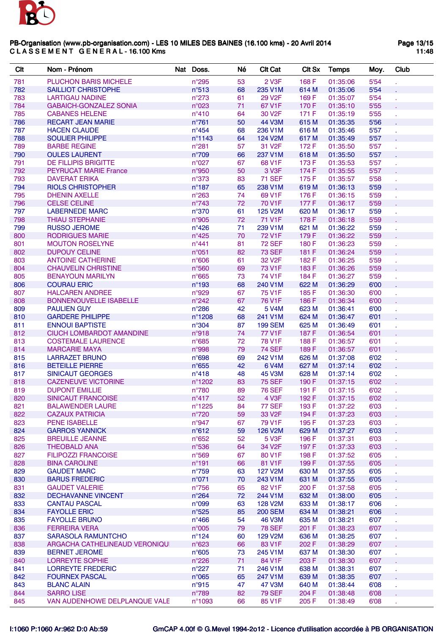

| Clt        | Nom - Prénom                                         | Nat Doss.                        | Né       | <b>CIt Cat</b>                | <b>CIt Sx</b>  | <b>Temps</b>         | Moy.         | Club |
|------------|------------------------------------------------------|----------------------------------|----------|-------------------------------|----------------|----------------------|--------------|------|
| 781        | PLUCHON BARIS MICHELE                                | $n^{\circ}$ 295                  | 53       | 2 V3F                         | 168 F          | 01:35:06             | 5'54         |      |
| 782        | <b>SAILLIOT CHRISTOPHE</b>                           | $n^{\circ}513$                   | 68       | 235 V1M                       | 614 M          | 01:35:06             | 5'54         |      |
| 783        | <b>LARTIGAU NADINE</b>                               | $n^{\circ}273$                   | 61       | 29 V <sub>2</sub> F           | 169 F          | 01:35:07             | 5'54         |      |
| 784        | <b>GABAICH-GONZALEZ SONIA</b>                        | $n^{\circ}023$                   | 71       | 67 V1F                        | 170 F          | 01:35:10             | 5'55         |      |
| 785        | <b>CABANES HELENE</b>                                | $n^{\circ}410$                   | 64       | 30 V <sub>2</sub> F           | 171 F          | 01:35:19             | 5'55         |      |
| 786        | <b>RECART JEAN MARIE</b>                             | $n^{\circ}761$                   | 50       | 44 V3M                        | 615 M          | 01:35:35             | 5'56         |      |
| 787        | <b>HACEN CLAUDE</b>                                  | $n^{\circ}454$                   | 68       | 236 V1M                       | 616 M          | 01:35:46             | 5'57         |      |
| 788        | <b>SOULIER PHILIPPE</b>                              | $n^{\circ}$ 1143                 | 64       | 124 V2M                       | 617 M          | 01:35:49             | 5'57         |      |
| 789        | <b>BARBE REGINE</b>                                  | $n^{\circ}281$                   | 57       | 31 V <sub>2</sub> F           | 172 F          | 01:35:50             | 5'57         |      |
| 790        | <b>OULES LAURENT</b>                                 | $n^{\circ}709$                   | 66       | 237 V1M                       | 618 M          | 01:35:50             | 5'57         |      |
| 791        | <b>DE FILLIPIS BRIGITTE</b>                          | $n^{\circ}027$                   | 67       | 68 V1F                        | 173 F          | 01:35:53             | 5'57         |      |
| 792        | <b>PEYRUCAT MARIE France</b>                         | n°950                            | 50       | 3 V3F                         | 174 F          | 01:35:55             | 5'57         |      |
| 793        | <b>DAVERAT ERIKA</b>                                 | $n^{\circ}373$                   | 83       | <b>71 SEF</b>                 | 175 F          | 01:35:57             | 5'58         |      |
| 794<br>795 | <b>RIOLS CHRISTOPHER</b><br><b>DHENIN AXELLE</b>     | $n^{\circ}187$<br>$n^{\circ}263$ | 65<br>74 | 238 V1M<br>69 V1F             | 619 M<br>176 F | 01:36:13<br>01:36:15 | 5'59<br>5'59 |      |
| 796        | <b>CELSE CELINE</b>                                  | $n^{\circ}743$                   | 72       | 70 V1F                        | 177 F          | 01:36:17             | 5'59         |      |
| 797        | <b>LABERNEDE MARC</b>                                | $n^{\circ}370$                   | 61       | 125 V2M                       | 620 M          | 01:36:17             | 5'59         |      |
| 798        | THIAU STEPHANIE                                      | n°905                            | 72       | 71 V1F                        | 178 F          | 01:36:18             | 5'59         |      |
| 799        | <b>RUSSO JEROME</b>                                  | $n^{\circ}426$                   | 71       | 239 V1M                       | 621 M          | 01:36:22             | 5'59         |      |
| 800        | <b>RODRIGUES MARIE</b>                               | $n^{\circ}425$                   | 70       | <b>72 V1F</b>                 | 179 F          | 01:36:22             | 5'59         |      |
| 801        | <b>MOUTON ROSELYNE</b>                               | $n^{\circ}441$                   | 81       | <b>72 SEF</b>                 | 180 F          | 01:36:23             | 5'59         |      |
| 802        | <b>DUPOUY CELINE</b>                                 | n°051                            | 82       | <b>73 SEF</b>                 | 181 F          | 01:36:24             | 5'59         |      |
| 803        | <b>ANTOINE CATHERINE</b>                             | $n^{\circ}606$                   | 61       | 32 V <sub>2</sub> F           | 182 F          | 01:36:25             | 5'59         |      |
| 804        | <b>CHAUVELIN CHRISTINE</b>                           | n°560                            | 69       | 73 V1F                        | 183 F          | 01:36:26             | 5'59         |      |
| 805        | <b>BENAYOUN MARILYN</b>                              | $n^{\circ}665$                   | 73       | 74 V1F                        | 184 F          | 01:36:27             | 5'59         |      |
| 806        | <b>COURAU ERIC</b>                                   | $n^{\circ}$ 193                  | 68       | 240 V1M                       | 622 M          | 01:36:29             | 6'00         |      |
| 807        | <b>HALCAREN ANDREE</b>                               | n°929                            | 67       | 75 V1F                        | 185 F          | 01:36:30             | 6'00         |      |
| 808        | <b>BONNENOUVELLE ISABELLE</b>                        | $n^{\circ}242$                   | 67       | 76 V1F                        | 186 F          | 01:36:34             | 6'00         |      |
| 809        | <b>PAULIEN GUY</b>                                   | $n^{\circ}286$                   | 42       | 5 V4M                         | 623 M          | 01:36:41             | 6'00         |      |
| 810        | <b>GARDERE PHILIPPE</b>                              | nº1208                           | 68       | 241 V1M                       | 624 M          | 01:36:47             | 6'01         |      |
| 811        | <b>ENNOUI BAPTISTE</b>                               | $n^{\circ}304$                   | 87       | <b>199 SEM</b>                | 625 M          | 01:36:49             | 6'01         |      |
| 812        | <b>CIUCH LOMBARDOT AMANDINE</b>                      | n°918                            | 74       | 77 V1F                        | 187 F          | 01:36:54             | 6'01         |      |
| 813        | <b>COSTEMALE LAURENCE</b>                            | $n^{\circ}685$                   | 72       | 78 V1F                        | 188 F          | 01:36:57             | 6'01         |      |
| 814        | <b>MARCARIE MAYA</b>                                 | n°998                            | 79       | <b>74 SEF</b>                 | 189 F          | 01:36:57             | 6'01         |      |
| 815        | <b>LARRAZET BRUNO</b>                                | $n^{\circ}698$                   | 69       | 242 V1M                       | 626 M          | 01:37:08             | 6'02         |      |
| 816        | <b>BETEILLE PIERRE</b>                               | $n^{\circ}655$                   | 42       | 6 V4M                         | 627 M          | 01:37:14             | 6'02         |      |
| 817        | <b>SINICAUT GEORGES</b>                              | $n^{\circ}418$                   | 48       | 45 V3M                        | 628 M          | 01:37:14             | 6'02         |      |
| 818        | <b>CAZENEUVE VICTORINE</b>                           | n°1202                           | 83       | <b>75 SEF</b>                 | 190 F          | 01:37:15             | 6'02         |      |
| 819        | <b>DUPONT EMILLIE</b>                                | $n^{\circ}780$                   | 89       | <b>76 SEF</b>                 | 191 F          | 01:37:15             | 6'02         |      |
| 820        | <b>SINICAUT FRANCOISE</b><br><b>BALAWENDER LAURE</b> | $n^{\circ}417$                   | 52       | 4 V3F                         | 192 F<br>193 F | 01:37:15             | 6'02<br>6'03 |      |
| 821<br>822 | <b>CAZAUX PATRICIA</b>                               | n°1225<br>n°720                  | 84<br>59 | 77 SEF<br>33 V <sub>2</sub> F | 194 F          | 01:37:22<br>01:37:23 | 6'03         |      |
| 823        | <b>PENE ISABELLE</b>                                 | $n^{\circ}947$                   | 67       | 79 V1F                        | 195 F          | 01:37:23             | 6'03         |      |
| 824        | <b>GARROS YANNICK</b>                                | $n^{\circ}612$                   | 59       | 126 V2M                       | 629 M          | 01:37:27             | 6'03         |      |
| 825        | <b>BREUILLE JEANNE</b>                               | $n^{\circ}652$                   | 52       | <b>5 V3F</b>                  | 196 F          | 01:37:31             | 6'03         |      |
| 826        | <b>THEOBALD ANA</b>                                  | $n^{\circ}$ 536                  | 64       | 34 V <sub>2</sub> F           | 197 F          | 01:37:33             | 6'03         |      |
| 827        | <b>FILIPOZZI FRANCOISE</b>                           | $n^{\circ}569$                   | 67       | 80 V1F                        | 198 F          | 01:37:52             | 6'05         |      |
| 828        | <b>BINA CAROLINE</b>                                 | $n^{\circ}$ 191                  | 66       | 81 V1F                        | 199 F          | 01:37:55             | 6'05         |      |
| 829        | <b>GAUDET MARC</b>                                   | $n^{\circ}759$                   | 63       | 127 V2M                       | 630 M          | 01:37:55             | 6'05         |      |
| 830        | <b>BARUS FREDERIC</b>                                | n°071                            | 70       | 243 V1M                       | 631 M          | 01:37:55             | 6'05         |      |
| 831        | <b>GAUDET VALERIE</b>                                | $n^{\circ}756$                   | 65       | 82 V1F                        | 200 F          | 01:37:58             | 6'05         |      |
| 832        | <b>DECHAVANNE VINCENT</b>                            | $n^{\circ}264$                   | 72       | 244 V1M                       | 632 M          | 01:38:00             | 6'05         |      |
| 833        | <b>CANTAU PASCAL</b>                                 | $n^{\circ}099$                   | 63       | 128 V2M                       | 633 M          | 01:38:17             | 6'06         |      |
| 834        | <b>FAYOLLE ERIC</b>                                  | $n^{\circ}525$                   | 85       | <b>200 SEM</b>                | 634 M          | 01:38:21             | 6'06         |      |
| 835        | <b>FAYOLLE BRUNO</b>                                 | $n^{\circ}466$                   | 54       | <b>46 V3M</b>                 | 635 M          | 01:38:21             | 6'07         |      |
| 836        | <b>FERREIRA VERA</b>                                 | $n^{\circ}005$                   | 79       | <b>78 SEF</b>                 | 201 F          | 01:38:23             | 6'07         |      |
| 837        | <b>SARASOLA RAMUNTCHO</b>                            | $n^{\circ}124$                   | 60       | 129 V2M                       | 636 M          | 01:38:25             | 6'07         |      |
| 838        | ARGACHA CATHELINEAUD VERONIQU                        | $n^{\circ}623$                   | 66       | 83 V1F                        | 202 F          | 01:38:29             | 6'07         |      |
| 839        | <b>BERNET JEROME</b>                                 | $n^{\circ}605$                   | 73       | 245 V1M                       | 637 M          | 01:38:30             | 6'07         |      |
| 840        | <b>LORREYTE SOPHIE</b>                               | $n^{\circ}226$                   | 71       | 84 V1F                        | 203 F          | 01:38:30             | 6'07         |      |
| 841        | LORREYTE FREDERIC                                    | $n^{\circ}227$                   | 71       | 246 V1M                       | 638 M          | 01:38:31             | 6'07         |      |
| 842        | <b>FOURNEX PASCAL</b>                                | $n^{\circ}065$                   | 65       | 247 V1M                       | 639 M          | 01:38:35             | 6'07         |      |
| 843        | <b>BLANC ALAIN</b>                                   | $n^{\circ}915$                   | 47       | <b>47 V3M</b>                 | 640 M          | 01:38:44             | 6'08         |      |
| 844        | <b>SARRO LISE</b>                                    | $n^{\circ}789$                   | 82       | <b>79 SEF</b>                 | 204 F          | 01:38:48             | 6'08         |      |
| 845        | VAN AUDENHOWE DELPLANQUE VALE                        | n°1093                           | 66       | 85 V1F                        | 205 F          | 01:38:49             | 6'08         |      |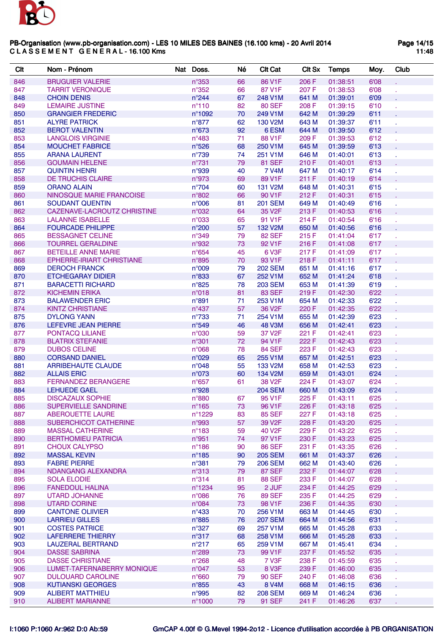

| Clt | Nom - Prénom                      | Nat Doss.       | Né | <b>Clt Cat</b>      | CIt Sx | <b>Temps</b> | Moy. | Club |
|-----|-----------------------------------|-----------------|----|---------------------|--------|--------------|------|------|
| 846 | <b>BRUGUIER VALERIE</b>           | $n^{\circ}353$  | 66 | 86 V1F              | 206 F  | 01:38:51     | 6'08 |      |
| 847 | <b>TARRIT VERONIQUE</b>           | n°352           | 66 | 87 V1F              | 207 F  | 01:38:53     | 6'08 |      |
| 848 | <b>CHOIN DENIS</b>                | $n^{\circ}$ 244 | 67 | 248 V1M             | 641 M  | 01:39:01     | 6'09 |      |
| 849 | <b>LEMAIRE JUSTINE</b>            | $n^{\circ}110$  | 82 | <b>80 SEF</b>       | 208 F  | 01:39:15     | 6'10 |      |
| 850 | <b>GRANGIER FREDERIC</b>          | n°1092          | 70 | 249 V1M             | 642 M  | 01:39:29     | 6'11 |      |
| 851 | <b>ALYRE PATRICK</b>              | $n^{\circ}877$  | 62 | 130 V2M             | 643 M  | 01:39:37     | 6'11 |      |
| 852 | <b>BEROT VALENTIN</b>             | $n^{\circ}673$  | 92 | 6 ESM               | 644 M  | 01:39:50     | 6'12 |      |
| 853 | <b>LANGLOIS VIRGINIE</b>          | $n^{\circ}483$  | 71 | 88 V1F              | 209 F  | 01:39:53     | 6'12 |      |
| 854 | <b>MOUCHET FABRICE</b>            | $n^{\circ}526$  | 68 | 250 V1M             | 645 M  | 01:39:59     | 6'13 |      |
| 855 | <b>ARANA LAURENT</b>              | $n^{\circ}739$  | 74 | 251 V1M             | 646 M  | 01:40:01     | 6'13 |      |
| 856 | <b>GOUMAIN HELENE</b>             | $n^{\circ}731$  | 79 | <b>81 SEF</b>       | 210 F  | 01:40:01     | 6'13 |      |
| 857 | <b>QUINTIN HENRI</b>              | n°939           | 40 | <b>7 V4M</b>        | 647 M  | 01:40:17     | 6'14 |      |
| 858 | DE TRUCHIS CLAIRE                 | n°973           | 69 | 89 V1F              | 211 F  | 01:40:19     | 6'14 |      |
| 859 | <b>ORANO ALAIN</b>                | $n^{\circ}704$  | 60 | 131 V2M             | 648 M  | 01:40:31     | 6'15 |      |
| 860 | <b>NINOSQUE MARIE FRANCOISE</b>   | $n^{\circ}802$  | 66 | 90 V1F              | 212 F  | 01:40:31     | 6'15 |      |
| 861 | <b>SOUDANT QUENTIN</b>            | $n^{\circ}006$  | 81 | <b>201 SEM</b>      | 649 M  | 01:40:49     | 6'16 |      |
| 862 | CAZENAVE-LACROUTZ CHRISTINE       | n°032           | 64 | 35 V <sub>2</sub> F | 213 F  | 01:40:53     | 6'16 |      |
| 863 | <b>LALANNE ISABELLE</b>           | n°033           | 65 | 91 V1F              | 214 F  | 01:40:54     | 6'16 |      |
| 864 | <b>FOURCADE PHILIPPE</b>          | $n^{\circ}200$  | 57 | 132 V2M             | 650 M  | 01:40:56     | 6'16 |      |
| 865 | <b>BESSAGNET CELINE</b>           | $n^{\circ}349$  | 79 | <b>82 SEF</b>       | 215 F  | 01:41:04     | 6'17 |      |
| 866 | <b>TOURREL GERALDINE</b>          | n°932           | 73 | 92 V1F              | 216 F  | 01:41:08     | 6'17 |      |
| 867 | <b>BETEILLE ANNE MARIE</b>        | $n^{\circ}654$  | 45 | 6 V3F               | 217 F  | 01:41:09     | 6'17 |      |
| 868 | <b>EPHERRE-IRIART CHRISTIANE</b>  | n°895           | 70 | 93 V1F              | 218 F  | 01:41:11     | 6'17 |      |
| 869 | <b>DEROCH FRANCK</b>              | n°009           | 79 | <b>202 SEM</b>      | 651 M  | 01:41:16     | 6'17 |      |
| 870 | <b>ETCHEGARAY DIDIER</b>          | $n^{\circ}$ 833 | 67 | 252 V1M             | 652 M  | 01:41:24     | 6'18 |      |
| 871 | <b>BARACETTI RICHARD</b>          | $n^{\circ}825$  | 78 | <b>203 SEM</b>      | 653 M  | 01:41:39     | 6'19 |      |
| 872 | <b>KICHEMIN ERIKA</b>             | n°018           | 81 | 83 SEF              | 219 F  | 01:42:30     | 6'22 |      |
| 873 | <b>BALAWENDER ERIC</b>            | $n^{\circ}891$  | 71 | 253 V1M             | 654 M  | 01:42:33     | 6'22 |      |
| 874 | <b>KINTZ CHRISTIANE</b>           | $n^{\circ}437$  | 57 | 36 V <sub>2</sub> F | 220 F  | 01:42:35     | 6'22 |      |
| 875 | <b>DYLONG YANN</b>                | $n^{\circ}733$  | 71 | 254 V1M             | 655 M  | 01:42:39     | 6'23 |      |
| 876 | LEFEVRE JEAN PIERRE               | $n^{\circ}549$  | 46 | <b>48 V3M</b>       | 656 M  | 01:42:41     | 6'23 |      |
| 877 | PONTACQ LILIANE                   | n°030           | 59 | 37 V <sub>2</sub> F | 221 F  | 01:42:41     | 6'23 |      |
| 878 | <b>BLATRIX STEFANIE</b>           | n°301           | 72 | 94 V1F              | 222 F  | 01:42:43     | 6'23 |      |
| 879 | <b>DUBOS CELINE</b>               | $n^{\circ}068$  | 78 | <b>84 SEF</b>       | 223 F  | 01:42:43     | 6'23 |      |
| 880 | <b>CORSAND DANIEL</b>             | n°029           | 65 | 255 V1M             | 657 M  | 01:42:51     | 6'23 |      |
| 881 | <b>ARRIBEHAUTE CLAUDE</b>         | n°048           | 55 | 133 V2M             | 658 M  | 01:42:53     | 6'23 |      |
| 882 | <b>ALLAIS ERIC</b>                | n°073           | 60 | 134 V2M             | 659 M  | 01:43:01     | 6'24 |      |
| 883 | <b>FERNANDEZ BERANGERE</b>        | $n^{\circ}657$  | 61 | 38 V <sub>2</sub> F | 224 F  | 01:43:07     | 6'24 |      |
| 884 | <b>LEHUEDE GAEL</b>               | n°928           |    | <b>204 SEM</b>      | 660 M  | 01:43:09     | 6'24 |      |
| 885 | <b>DISCAZAUX SOPHIE</b>           | n°880           | 67 | 95 V1F              | 225 F  | 01:43:11     | 6'25 |      |
| 886 | <b>SUPERVIELLE SANDRINE</b>       | $n^{\circ}165$  | 73 | 96 V1F              | 226 F  | 01:43:18     | 6'25 |      |
| 887 | ABEROUETTE LAURE                  | n°1229          | 83 | <b>85 SEF</b>       | 227 F  | 01:43:18     | 6'25 |      |
| 888 | SUBERCHICOT CATHERINE             | n°993           | 57 | 39 V <sub>2</sub> F | 228 F  | 01:43:20     | 6'25 |      |
| 889 | <b>MASSAL CATHERINE</b>           | $n^{\circ}183$  | 59 | 40 V <sub>2</sub> F | 229 F  | 01:43:22     | 6'25 |      |
| 890 | <b>BERTHOMIEU PATRICIA</b>        | n°951           | 74 | 97 V1F              | 230 F  | 01:43:23     | 6'25 |      |
| 891 | <b>CHOUX CALYPSO</b>              | $n^{\circ}186$  | 90 | <b>86 SEF</b>       | 231 F  | 01:43:35     | 6'26 |      |
| 892 | <b>MASSAL KEVIN</b>               | $n^{\circ}185$  | 90 | <b>205 SEM</b>      | 661 M  | 01:43:37     | 6'26 |      |
| 893 | <b>FABRE PIERRE</b>               | n°381           | 79 | <b>206 SEM</b>      | 662 M  | 01:43:40     | 6'26 |      |
| 894 | NDANGANG ALEXANDRA                | $n^{\circ}313$  | 79 | <b>87 SEF</b>       | 232 F  | 01:44:07     | 6'28 |      |
| 895 | <b>SOLA ELODIE</b>                | $n^{\circ}314$  | 81 | <b>88 SEF</b>       | 233 F  | 01:44:07     | 6'28 |      |
| 896 | <b>FANEDOUL HALINA</b>            | n°1234          | 95 | 2 JUF               | 234 F  | 01:44:25     | 6'29 |      |
| 897 | <b>UTARD JOHANNE</b>              | $n^{\circ}086$  | 76 | <b>89 SEF</b>       | 235 F  | 01:44:25     | 6'29 |      |
| 898 | <b>UTARD CORINE</b>               | $n^{\circ}084$  | 73 | 98 V1F              | 236 F  | 01:44:35     | 6'30 |      |
| 899 | <b>CANTONE OLIIVIER</b>           | $n^{\circ}$ 433 | 70 | 256 V1M             | 663 M  | 01:44:45     | 6'30 |      |
| 900 | <b>LARRIEU GILLES</b>             | $n^{\circ}885$  | 76 | <b>207 SEM</b>      | 664 M  | 01:44:56     | 6'31 |      |
| 901 | <b>COSTES PATRICE</b>             | $n^{\circ}327$  | 69 | 257 V1M             | 665 M  | 01:45:28     | 6'33 |      |
| 902 | <b>LAFERRERE THIERRY</b>          | $n^{\circ}317$  | 68 | 258 V1M             | 666 M  | 01:45:28     | 6'33 |      |
| 903 | <b>LAUZERAL BERTRAND</b>          | $n^{\circ}217$  | 65 | 259 V1M             | 667 M  | 01:45:41     | 6'34 |      |
| 904 | <b>DASSE SABRINA</b>              | $n^{\circ}289$  | 73 | 99 V1F              | 237 F  | 01:45:52     | 6'35 |      |
| 905 | <b>DASSE CHRISTIANE</b>           | $n^{\circ}268$  | 48 | 7 V3F               | 238 F  | 01:45:59     | 6'35 |      |
| 906 | <b>LUMET-TAFERNABERRY MONIQUE</b> | $n^{\circ}047$  | 53 | 8 V3F               | 239 F  | 01:46:00     | 6'35 |      |
| 907 | <b>DULOUARD CAROLINE</b>          | $n^{\circ}660$  | 79 | <b>90 SEF</b>       | 240 F  | 01:46:08     | 6'36 |      |
| 908 | <b>KUTIANSKI GEORGES</b>          | $n^{\circ}855$  | 43 | 8 V4M               | 668 M  | 01:46:15     | 6'36 |      |
| 909 | <b>ALIBERT MATTHIEU</b>           | n°995           | 82 | <b>208 SEM</b>      | 669 M  | 01:46:24     | 6'36 |      |
| 910 | <b>ALIBERT MARIANNE</b>           | n°1000          | 79 | 91 SEF              | 241 F  | 01:46:26     | 6'37 |      |